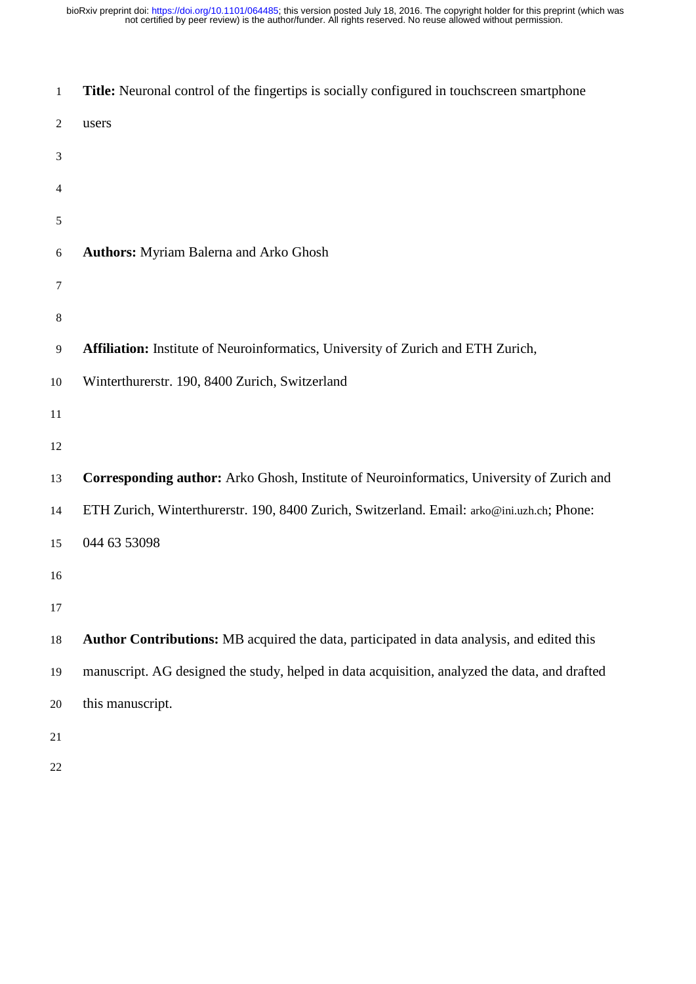| 1                | Title: Neuronal control of the fingertips is socially configured in touchscreen smartphone    |
|------------------|-----------------------------------------------------------------------------------------------|
| $\overline{c}$   | users                                                                                         |
| 3                |                                                                                               |
| 4                |                                                                                               |
| 5                |                                                                                               |
| 6                | <b>Authors:</b> Myriam Balerna and Arko Ghosh                                                 |
| $\tau$           |                                                                                               |
| $8\,$            |                                                                                               |
| $\boldsymbol{9}$ | Affiliation: Institute of Neuroinformatics, University of Zurich and ETH Zurich,              |
| $10\,$           | Winterthurerstr. 190, 8400 Zurich, Switzerland                                                |
| 11               |                                                                                               |
| 12               |                                                                                               |
| 13               | Corresponding author: Arko Ghosh, Institute of Neuroinformatics, University of Zurich and     |
| 14               | ETH Zurich, Winterthurerstr. 190, 8400 Zurich, Switzerland. Email: arko@ini.uzh.ch; Phone:    |
| 15               | 044 63 53098                                                                                  |
| 16               |                                                                                               |
| 17               |                                                                                               |
| 18               | Author Contributions: MB acquired the data, participated in data analysis, and edited this    |
| 19               | manuscript. AG designed the study, helped in data acquisition, analyzed the data, and drafted |
| 20               | this manuscript.                                                                              |
| 21               |                                                                                               |
| 22               |                                                                                               |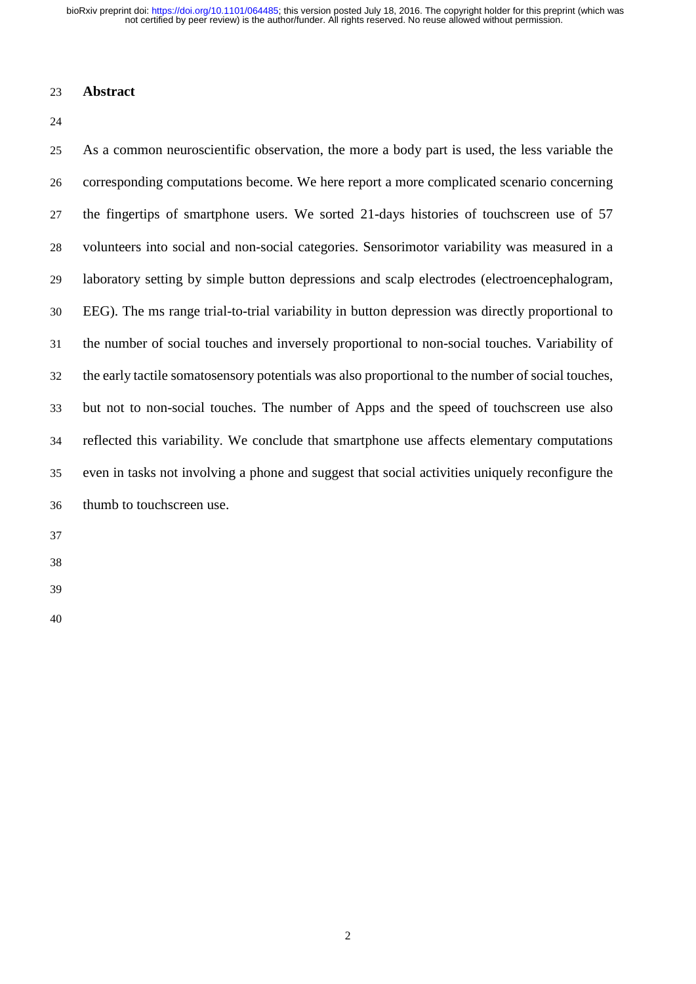not certified by peer review) is the author/funder. All rights reserved. No reuse allowed without permission. bioRxiv preprint doi: [https://doi.org/10.1101/064485;](https://doi.org/10.1101/064485) this version posted July 18, 2016. The copyright holder for this preprint (which was

#### **Abstract**

 As a common neuroscientific observation, the more a body part is used, the less variable the corresponding computations become. We here report a more complicated scenario concerning the fingertips of smartphone users. We sorted 21-days histories of touchscreen use of 57 volunteers into social and non-social categories. Sensorimotor variability was measured in a laboratory setting by simple button depressions and scalp electrodes (electroencephalogram, EEG). The ms range trial-to-trial variability in button depression was directly proportional to the number of social touches and inversely proportional to non-social touches. Variability of the early tactile somatosensory potentials was also proportional to the number of social touches, but not to non-social touches. The number of Apps and the speed of touchscreen use also reflected this variability. We conclude that smartphone use affects elementary computations even in tasks not involving a phone and suggest that social activities uniquely reconfigure the thumb to touchscreen use.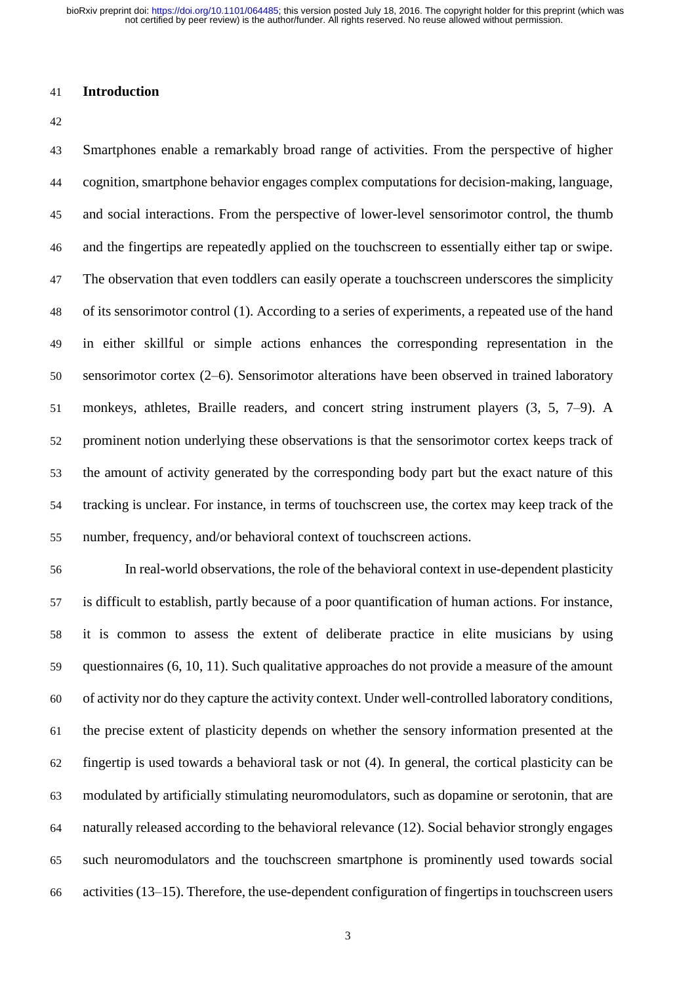#### **Introduction**

 Smartphones enable a remarkably broad range of activities. From the perspective of higher cognition, smartphone behavior engages complex computations for decision-making, language, and social interactions. From the perspective of lower-level sensorimotor control, the thumb and the fingertips are repeatedly applied on the touchscreen to essentially either tap or swipe. The observation that even toddlers can easily operate a touchscreen underscores the simplicity of its sensorimotor control (1). According to a series of experiments, a repeated use of the hand in either skillful or simple actions enhances the corresponding representation in the sensorimotor cortex (2–6). Sensorimotor alterations have been observed in trained laboratory monkeys, athletes, Braille readers, and concert string instrument players (3, 5, 7–9). A prominent notion underlying these observations is that the sensorimotor cortex keeps track of the amount of activity generated by the corresponding body part but the exact nature of this tracking is unclear. For instance, in terms of touchscreen use, the cortex may keep track of the number, frequency, and/or behavioral context of touchscreen actions.

 In real-world observations, the role of the behavioral context in use-dependent plasticity is difficult to establish, partly because of a poor quantification of human actions. For instance, it is common to assess the extent of deliberate practice in elite musicians by using questionnaires (6, 10, 11). Such qualitative approaches do not provide a measure of the amount of activity nor do they capture the activity context. Under well-controlled laboratory conditions, the precise extent of plasticity depends on whether the sensory information presented at the fingertip is used towards a behavioral task or not (4). In general, the cortical plasticity can be modulated by artificially stimulating neuromodulators, such as dopamine or serotonin, that are naturally released according to the behavioral relevance (12). Social behavior strongly engages such neuromodulators and the touchscreen smartphone is prominently used towards social 66 activities  $(13-15)$ . Therefore, the use-dependent configuration of fingertips in touchscreen users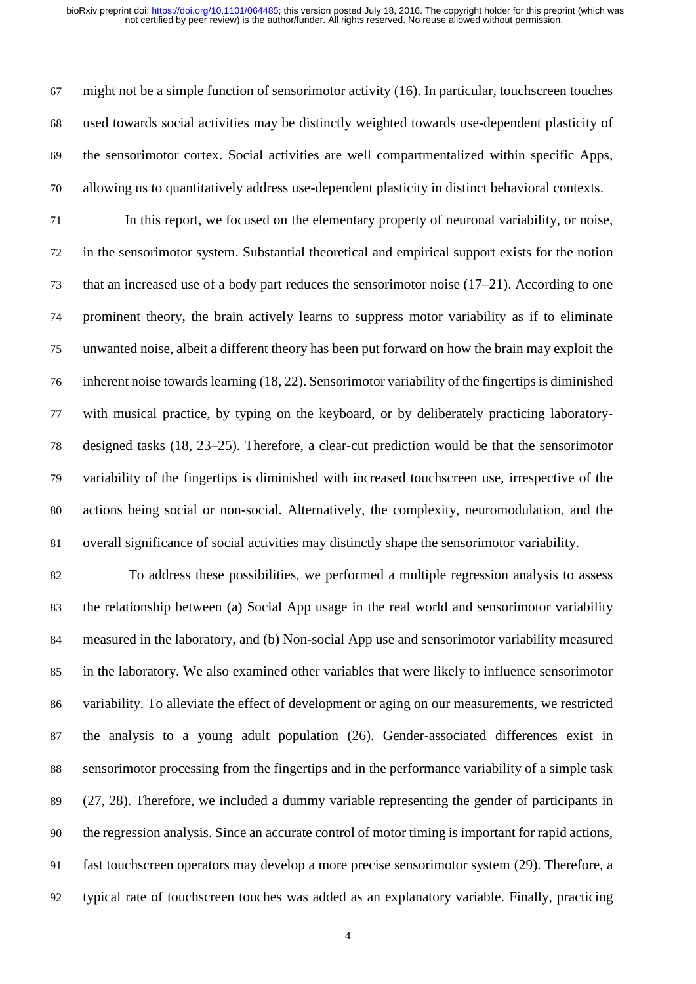might not be a simple function of sensorimotor activity (16). In particular, touchscreen touches used towards social activities may be distinctly weighted towards use-dependent plasticity of the sensorimotor cortex. Social activities are well compartmentalized within specific Apps, allowing us to quantitatively address use-dependent plasticity in distinct behavioral contexts.

 In this report, we focused on the elementary property of neuronal variability, or noise, in the sensorimotor system. Substantial theoretical and empirical support exists for the notion that an increased use of a body part reduces the sensorimotor noise (17–21). According to one prominent theory, the brain actively learns to suppress motor variability as if to eliminate unwanted noise, albeit a different theory has been put forward on how the brain may exploit the inherent noise towards learning  $(18, 22)$ . Sensorimotor variability of the fingertips is diminished with musical practice, by typing on the keyboard, or by deliberately practicing laboratory- designed tasks (18, 23–25). Therefore, a clear-cut prediction would be that the sensorimotor variability of the fingertips is diminished with increased touchscreen use, irrespective of the actions being social or non-social. Alternatively, the complexity, neuromodulation, and the overall significance of social activities may distinctly shape the sensorimotor variability.

 To address these possibilities, we performed a multiple regression analysis to assess the relationship between (a) Social App usage in the real world and sensorimotor variability measured in the laboratory, and (b) Non-social App use and sensorimotor variability measured in the laboratory. We also examined other variables that were likely to influence sensorimotor variability. To alleviate the effect of development or aging on our measurements, we restricted the analysis to a young adult population (26). Gender-associated differences exist in sensorimotor processing from the fingertips and in the performance variability of a simple task (27, 28). Therefore, we included a dummy variable representing the gender of participants in the regression analysis. Since an accurate control of motor timing is important for rapid actions, fast touchscreen operators may develop a more precise sensorimotor system (29). Therefore, a typical rate of touchscreen touches was added as an explanatory variable. Finally, practicing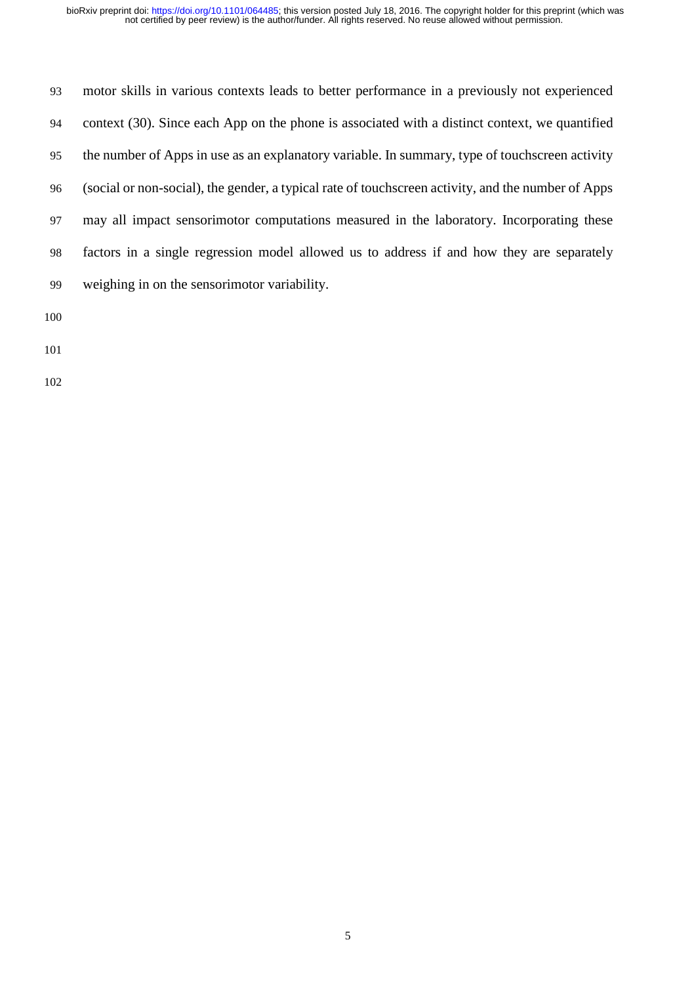| 93  | motor skills in various contexts leads to better performance in a previously not experienced       |
|-----|----------------------------------------------------------------------------------------------------|
| 94  | context (30). Since each App on the phone is associated with a distinct context, we quantified     |
| 95  | the number of Apps in use as an explanatory variable. In summary, type of touchscreen activity     |
| 96  | (social or non-social), the gender, a typical rate of touchscreen activity, and the number of Apps |
| 97  | may all impact sensorimotor computations measured in the laboratory. Incorporating these           |
| 98  | factors in a single regression model allowed us to address if and how they are separately          |
| 99  | weighing in on the sensorimotor variability.                                                       |
| 100 |                                                                                                    |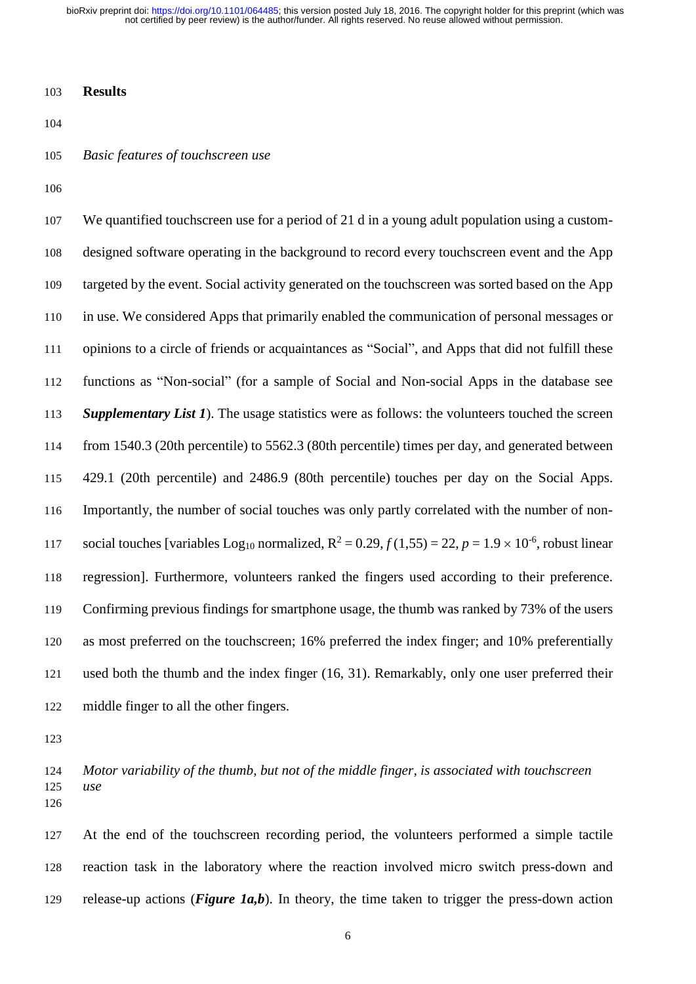not certified by peer review) is the author/funder. All rights reserved. No reuse allowed without permission. bioRxiv preprint doi: [https://doi.org/10.1101/064485;](https://doi.org/10.1101/064485) this version posted July 18, 2016. The copyright holder for this preprint (which was

## **Results**

## *Basic features of touchscreen use*

 We quantified touchscreen use for a period of 21 d in a young adult population using a custom- designed software operating in the background to record every touchscreen event and the App targeted by the event. Social activity generated on the touchscreen was sorted based on the App in use. We considered Apps that primarily enabled the communication of personal messages or opinions to a circle of friends or acquaintances as "Social", and Apps that did not fulfill these functions as "Non-social" (for a sample of Social and Non-social Apps in the database see *Supplementary List 1*). The usage statistics were as follows: the volunteers touched the screen from 1540.3 (20th percentile) to 5562.3 (80th percentile) times per day, and generated between 429.1 (20th percentile) and 2486.9 (80th percentile) touches per day on the Social Apps. Importantly, the number of social touches was only partly correlated with the number of non-117 social touches [variables Log<sub>10</sub> normalized,  $R^2 = 0.29, f(1,55) = 22, p = 1.9 \times 10^{-6}$ , robust linear regression]. Furthermore, volunteers ranked the fingers used according to their preference. Confirming previous findings for smartphone usage, the thumb was ranked by 73% of the users as most preferred on the touchscreen; 16% preferred the index finger; and 10% preferentially used both the thumb and the index finger (16, 31). Remarkably, only one user preferred their middle finger to all the other fingers.

 *Motor variability of the thumb, but not of the middle finger, is associated with touchscreen use* 

 At the end of the touchscreen recording period, the volunteers performed a simple tactile reaction task in the laboratory where the reaction involved micro switch press-down and release-up actions (*Figure 1a,b*). In theory, the time taken to trigger the press-down action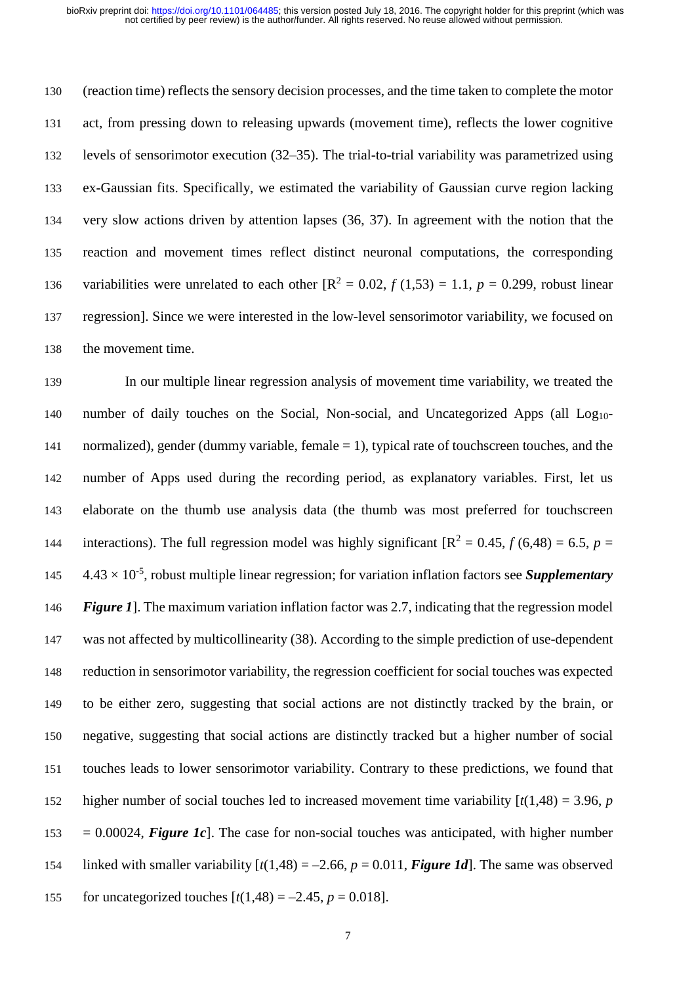(reaction time) reflects the sensory decision processes, and the time taken to complete the motor act, from pressing down to releasing upwards (movement time), reflects the lower cognitive levels of sensorimotor execution (32–35). The trial-to-trial variability was parametrized using ex-Gaussian fits. Specifically, we estimated the variability of Gaussian curve region lacking very slow actions driven by attention lapses (36, 37). In agreement with the notion that the reaction and movement times reflect distinct neuronal computations, the corresponding 136 variabilities were unrelated to each other  $[R^2 = 0.02, f(1,53) = 1.1, p = 0.299$ , robust linear regression]. Since we were interested in the low-level sensorimotor variability, we focused on the movement time.

 In our multiple linear regression analysis of movement time variability, we treated the 140 number of daily touches on the Social, Non-social, and Uncategorized Apps (all Log<sub>10</sub>-141 normalized), gender (dummy variable, female = 1), typical rate of touchscreen touches, and the number of Apps used during the recording period, as explanatory variables. First, let us elaborate on the thumb use analysis data (the thumb was most preferred for touchscreen 144 interactions). The full regression model was highly significant  $[R^2 = 0.45, f(6,48) = 6.5, p =$  4.43  $\times$  10<sup>-5</sup>, robust multiple linear regression; for variation inflation factors see *Supplementary Figure 1*]. The maximum variation inflation factor was 2.7, indicating that the regression model was not affected by multicollinearity (38). According to the simple prediction of use-dependent reduction in sensorimotor variability, the regression coefficient for social touches was expected to be either zero, suggesting that social actions are not distinctly tracked by the brain, or negative, suggesting that social actions are distinctly tracked but a higher number of social touches leads to lower sensorimotor variability. Contrary to these predictions, we found that 152 higher number of social touches led to increased movement time variability  $\left[\frac{t(1,48)}{2}, 3.96, p\right]$  $153 = 0.00024$ , *Figure 1c*. The case for non-social touches was anticipated, with higher number 154 linked with smaller variability  $[t(1,48) = -2.66, p = 0.011, Figure 1d]$ . The same was observed 155 for uncategorized touches  $[t(1,48) = -2.45, p = 0.018]$ .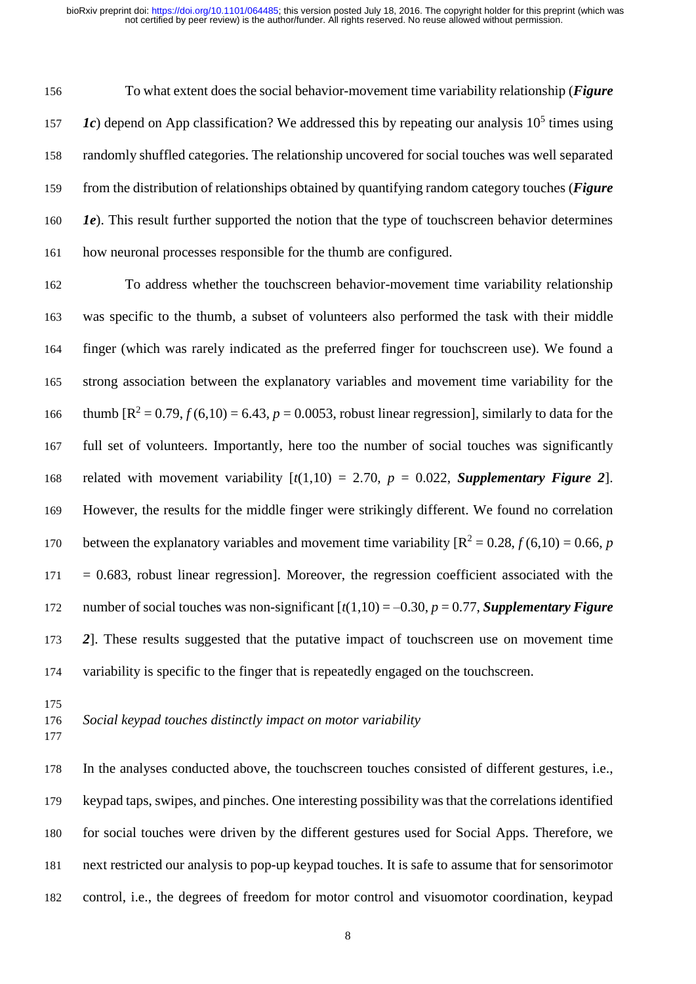To what extent does the social behavior-movement time variability relationship (*Figure*  $Ic$ ) depend on App classification? We addressed this by repeating our analysis 10<sup>5</sup> times using randomly shuffled categories. The relationship uncovered for social touches was well separated from the distribution of relationships obtained by quantifying random category touches (*Figure 1e*). This result further supported the notion that the type of touchscreen behavior determines how neuronal processes responsible for the thumb are configured.

 To address whether the touchscreen behavior-movement time variability relationship was specific to the thumb, a subset of volunteers also performed the task with their middle finger (which was rarely indicated as the preferred finger for touchscreen use). We found a strong association between the explanatory variables and movement time variability for the 166 thumb  $[R^2 = 0.79, f(6,10) = 6.43, p = 0.0053$ , robust linear regression], similarly to data for the full set of volunteers. Importantly, here too the number of social touches was significantly 168 related with movement variability  $[t(1,10) = 2.70, p = 0.022,$  *Supplementary Figure 2*]. However, the results for the middle finger were strikingly different. We found no correlation 170 between the explanatory variables and movement time variability  $[R^2 = 0.28, f(6,10) = 0.66, p$  $171 = 0.683$ , robust linear regression]. Moreover, the regression coefficient associated with the number of social touches was non-significant [*t*(1,10) = –0.30, *p* = 0.77, *Supplementary Figure 2*]. These results suggested that the putative impact of touchscreen use on movement time variability is specific to the finger that is repeatedly engaged on the touchscreen.

*Social keypad touches distinctly impact on motor variability* 

 In the analyses conducted above, the touchscreen touches consisted of different gestures, i.e., keypad taps, swipes, and pinches. One interesting possibility was that the correlations identified for social touches were driven by the different gestures used for Social Apps. Therefore, we next restricted our analysis to pop-up keypad touches. It is safe to assume that for sensorimotor control, i.e., the degrees of freedom for motor control and visuomotor coordination, keypad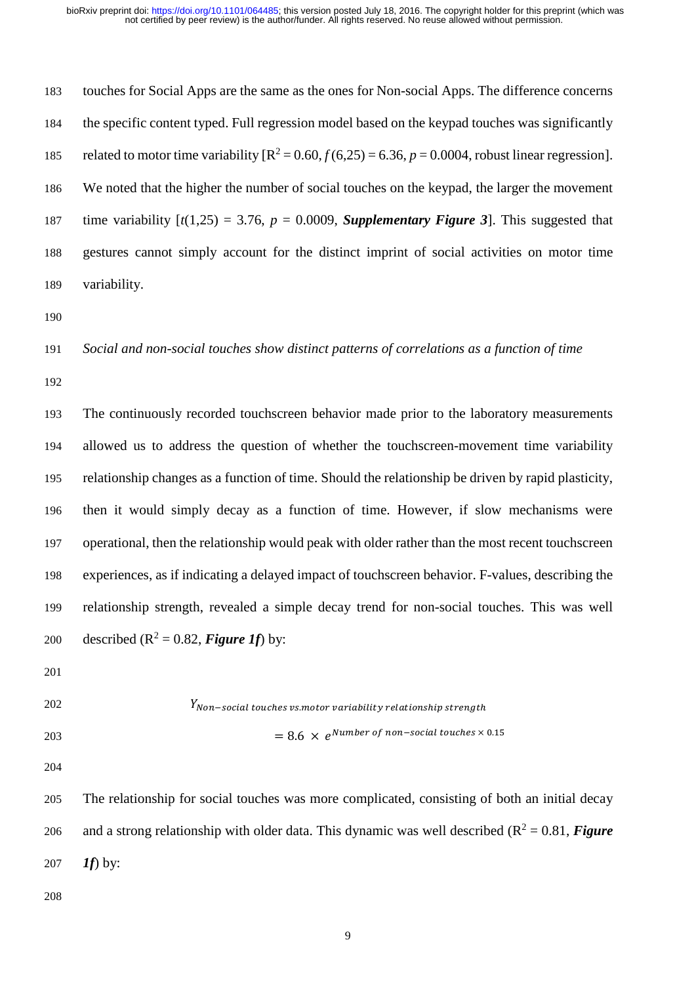touches for Social Apps are the same as the ones for Non-social Apps. The difference concerns the specific content typed. Full regression model based on the keypad touches was significantly 185 related to motor time variability  $[R^2 = 0.60, f(6,25) = 6.36, p = 0.0004$ , robust linear regression]. We noted that the higher the number of social touches on the keypad, the larger the movement 187 time variability  $[t(1,25) = 3.76, p = 0.0009$ , **Supplementary Figure 3**. This suggested that gestures cannot simply account for the distinct imprint of social activities on motor time variability.

## *Social and non-social touches show distinct patterns of correlations as a function of time*

 The continuously recorded touchscreen behavior made prior to the laboratory measurements allowed us to address the question of whether the touchscreen-movement time variability relationship changes as a function of time. Should the relationship be driven by rapid plasticity, then it would simply decay as a function of time. However, if slow mechanisms were operational, then the relationship would peak with older rather than the most recent touchscreen experiences, as if indicating a delayed impact of touchscreen behavior. F-values, describing the relationship strength, revealed a simple decay trend for non-social touches. This was well 200 described  $(R^2 = 0.82, \text{Figure 1f})$  by:

| 202 | $Y_{Non-social}$ touches vs.motor variability relationship strength |
|-----|---------------------------------------------------------------------|
| 203 | $= 8.6 \times e^{Number \ of \ non-social \ touches} \times 0.15$   |

 The relationship for social touches was more complicated, consisting of both an initial decay 206 and a strong relationship with older data. This dynamic was well described  $(R^2 = 0.81, Figure$ *1f*) by: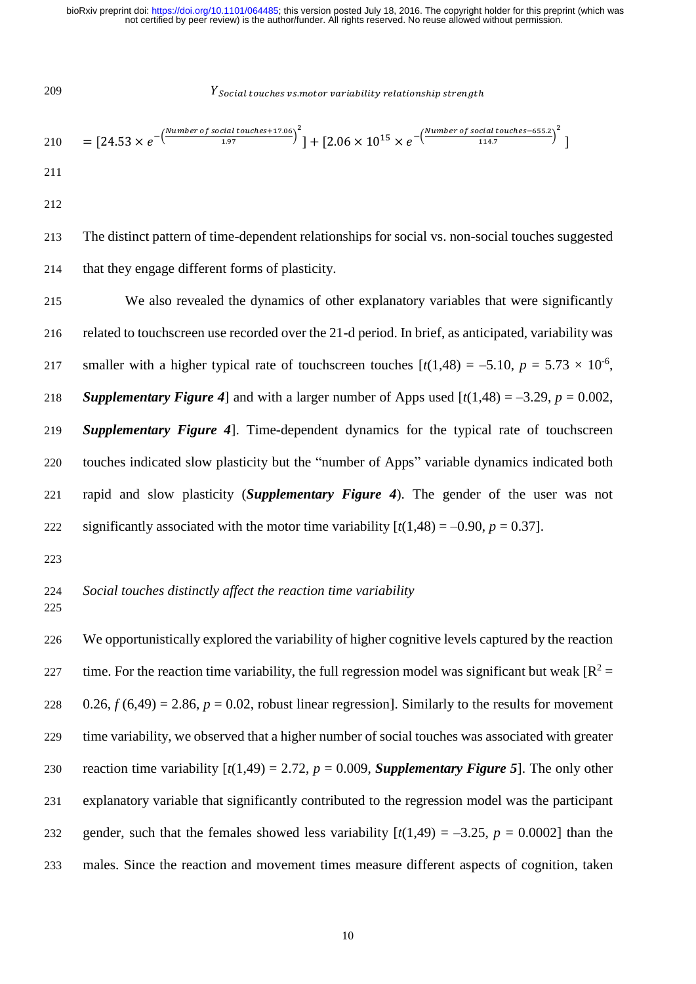209 ℎ . ℎ ℎ

$$
210 = [24.53 \times e^{-\left(\frac{Number\ of\ social\ touches + 17.06}{1.97}\right)^2}] + [2.06 \times 10^{15} \times e^{-\left(\frac{Number\ of\ social\ touches - 655.2}{114.7}\right)^2}]
$$
  
211

212

213 The distinct pattern of time-dependent relationships for social vs. non-social touches suggested 214 that they engage different forms of plasticity.

 We also revealed the dynamics of other explanatory variables that were significantly related to touchscreen use recorded over the 21-d period. In brief, as anticipated, variability was 217 smaller with a higher typical rate of touchscreen touches  $[t(1,48) = -5.10, p = 5.73 \times 10^{-6},$ *Supplementary Figure 4* and with a larger number of Apps used  $[t(1,48) = -3.29, p = 0.002,$  *Supplementary Figure 4*]. Time-dependent dynamics for the typical rate of touchscreen touches indicated slow plasticity but the "number of Apps" variable dynamics indicated both rapid and slow plasticity (*Supplementary Figure 4*). The gender of the user was not 222 significantly associated with the motor time variability  $[t(1,48) = -0.90, p = 0.37]$ .

223

## 224 *Social touches distinctly affect the reaction time variability*

225

 We opportunistically explored the variability of higher cognitive levels captured by the reaction 227 time. For the reaction time variability, the full regression model was significant but weak  $[R^2 =$  $0.26, f(6,49) = 2.86, p = 0.02$ , robust linear regression]. Similarly to the results for movement time variability, we observed that a higher number of social touches was associated with greater 230 reaction time variability  $[t(1,49) = 2.72, p = 0.009,$  **Supplementary Figure 5**]. The only other explanatory variable that significantly contributed to the regression model was the participant 232 gender, such that the females showed less variability  $[t(1,49) = -3.25, p = 0.0002]$  than the males. Since the reaction and movement times measure different aspects of cognition, taken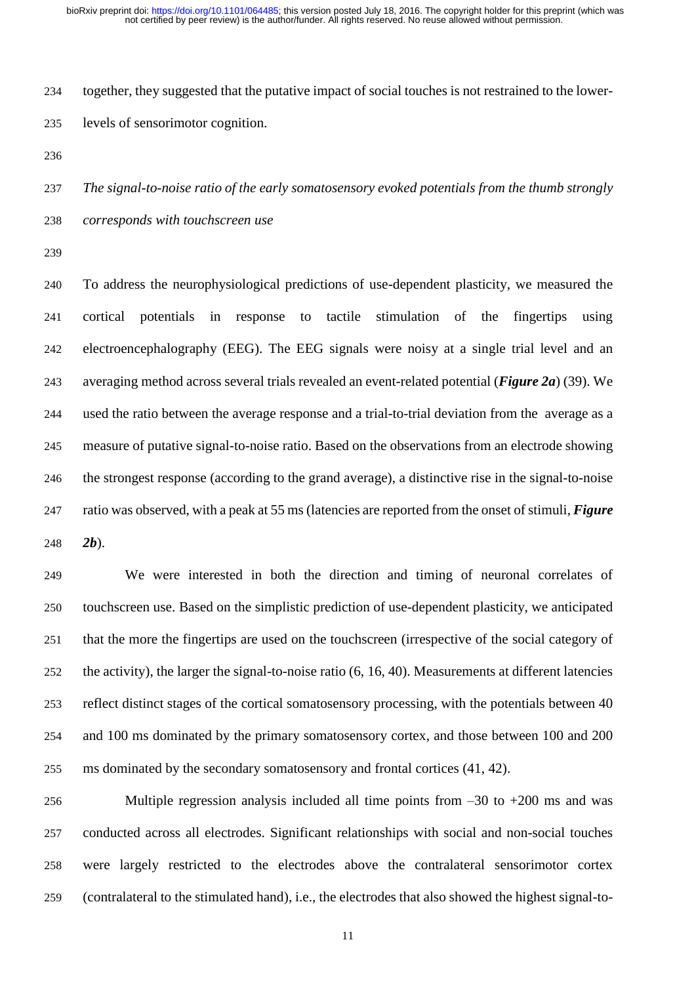together, they suggested that the putative impact of social touches is not restrained to the lower-levels of sensorimotor cognition.

 *The signal-to-noise ratio of the early somatosensory evoked potentials from the thumb strongly corresponds with touchscreen use* 

 To address the neurophysiological predictions of use-dependent plasticity, we measured the cortical potentials in response to tactile stimulation of the fingertips using electroencephalography (EEG). The EEG signals were noisy at a single trial level and an averaging method across several trials revealed an event-related potential (*Figure 2a*) (39). We used the ratio between the average response and a trial-to-trial deviation from the average as a measure of putative signal-to-noise ratio. Based on the observations from an electrode showing the strongest response (according to the grand average), a distinctive rise in the signal-to-noise ratio was observed, with a peak at 55 ms (latencies are reported from the onset of stimuli, *Figure 2b*).

 We were interested in both the direction and timing of neuronal correlates of touchscreen use. Based on the simplistic prediction of use-dependent plasticity, we anticipated that the more the fingertips are used on the touchscreen (irrespective of the social category of the activity), the larger the signal-to-noise ratio (6, 16, 40). Measurements at different latencies reflect distinct stages of the cortical somatosensory processing, with the potentials between 40 and 100 ms dominated by the primary somatosensory cortex, and those between 100 and 200 ms dominated by the secondary somatosensory and frontal cortices (41, 42).

 Multiple regression analysis included all time points from –30 to +200 ms and was conducted across all electrodes. Significant relationships with social and non-social touches were largely restricted to the electrodes above the contralateral sensorimotor cortex (contralateral to the stimulated hand), i.e., the electrodes that also showed the highest signal-to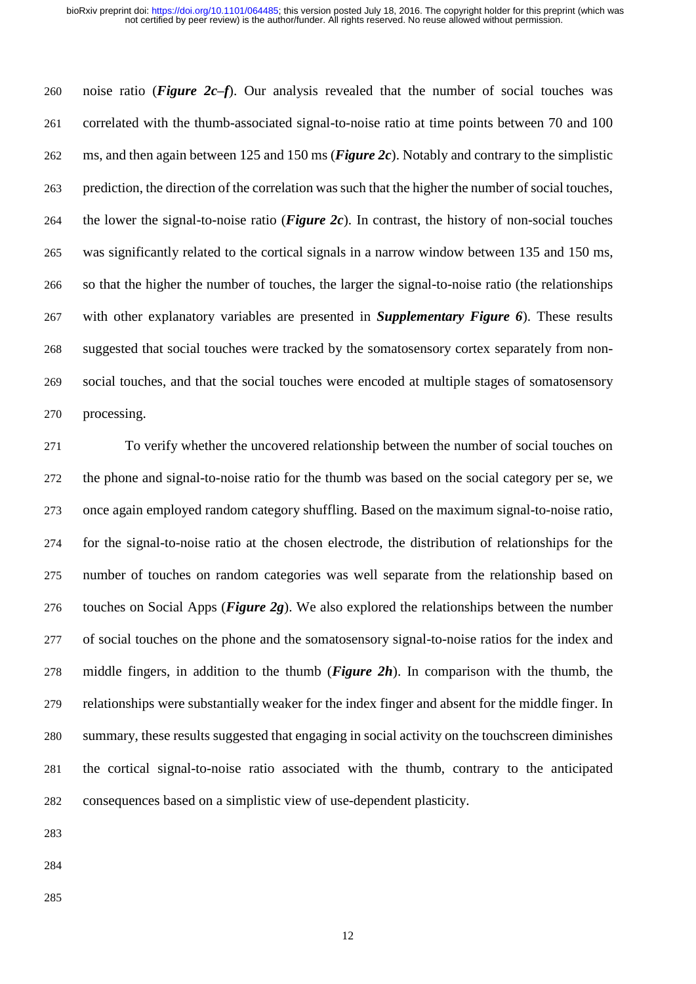noise ratio (*Figure 2c–f*). Our analysis revealed that the number of social touches was correlated with the thumb-associated signal-to-noise ratio at time points between 70 and 100 ms, and then again between 125 and 150 ms (*Figure 2c*). Notably and contrary to the simplistic prediction, the direction of the correlation was such that the higher the number of social touches, the lower the signal-to-noise ratio (*Figure 2c*). In contrast, the history of non-social touches was significantly related to the cortical signals in a narrow window between 135 and 150 ms, so that the higher the number of touches, the larger the signal-to-noise ratio (the relationships with other explanatory variables are presented in *Supplementary Figure 6*). These results suggested that social touches were tracked by the somatosensory cortex separately from non- social touches, and that the social touches were encoded at multiple stages of somatosensory processing.

 To verify whether the uncovered relationship between the number of social touches on the phone and signal-to-noise ratio for the thumb was based on the social category per se, we once again employed random category shuffling. Based on the maximum signal-to-noise ratio, for the signal-to-noise ratio at the chosen electrode, the distribution of relationships for the number of touches on random categories was well separate from the relationship based on touches on Social Apps (*Figure 2g*). We also explored the relationships between the number of social touches on the phone and the somatosensory signal-to-noise ratios for the index and middle fingers, in addition to the thumb (*Figure 2h*). In comparison with the thumb, the relationships were substantially weaker for the index finger and absent for the middle finger. In summary, these results suggested that engaging in social activity on the touchscreen diminishes the cortical signal-to-noise ratio associated with the thumb, contrary to the anticipated consequences based on a simplistic view of use-dependent plasticity.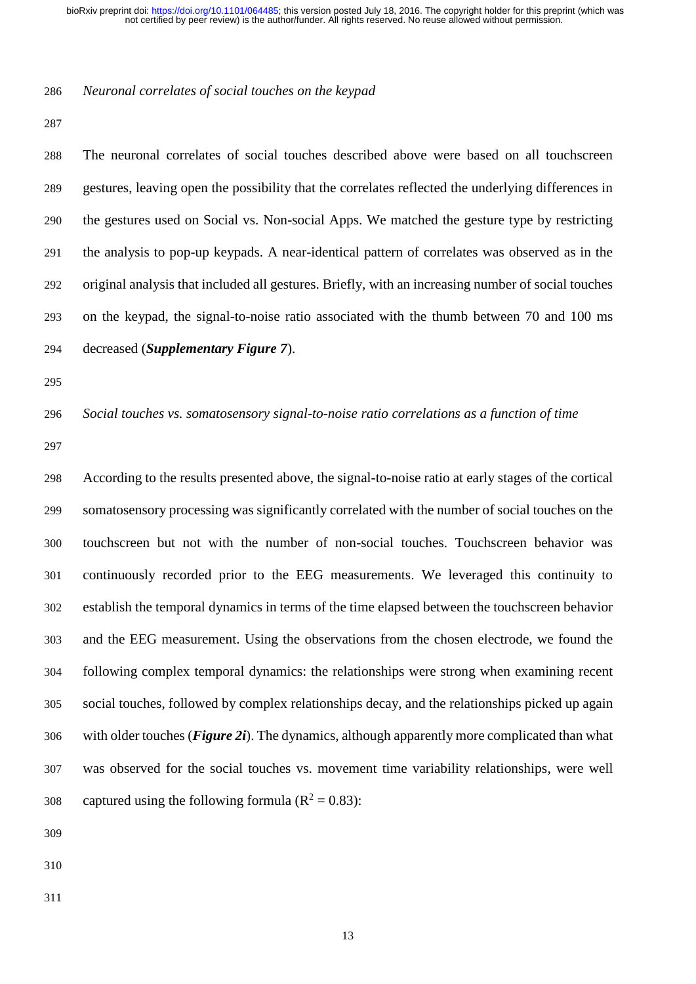## *Neuronal correlates of social touches on the keypad*

 The neuronal correlates of social touches described above were based on all touchscreen gestures, leaving open the possibility that the correlates reflected the underlying differences in the gestures used on Social vs. Non-social Apps. We matched the gesture type by restricting the analysis to pop-up keypads. A near-identical pattern of correlates was observed as in the original analysis that included all gestures. Briefly, with an increasing number of social touches on the keypad, the signal-to-noise ratio associated with the thumb between 70 and 100 ms decreased (*Supplementary Figure 7*).

*Social touches vs. somatosensory signal-to-noise ratio correlations as a function of time*

 According to the results presented above, the signal-to-noise ratio at early stages of the cortical somatosensory processing was significantly correlated with the number of social touches on the touchscreen but not with the number of non-social touches. Touchscreen behavior was continuously recorded prior to the EEG measurements. We leveraged this continuity to establish the temporal dynamics in terms of the time elapsed between the touchscreen behavior and the EEG measurement. Using the observations from the chosen electrode, we found the following complex temporal dynamics: the relationships were strong when examining recent social touches, followed by complex relationships decay, and the relationships picked up again with older touches (*Figure 2i*). The dynamics, although apparently more complicated than what was observed for the social touches vs. movement time variability relationships, were well 308 captured using the following formula ( $\mathbb{R}^2 = 0.83$ ):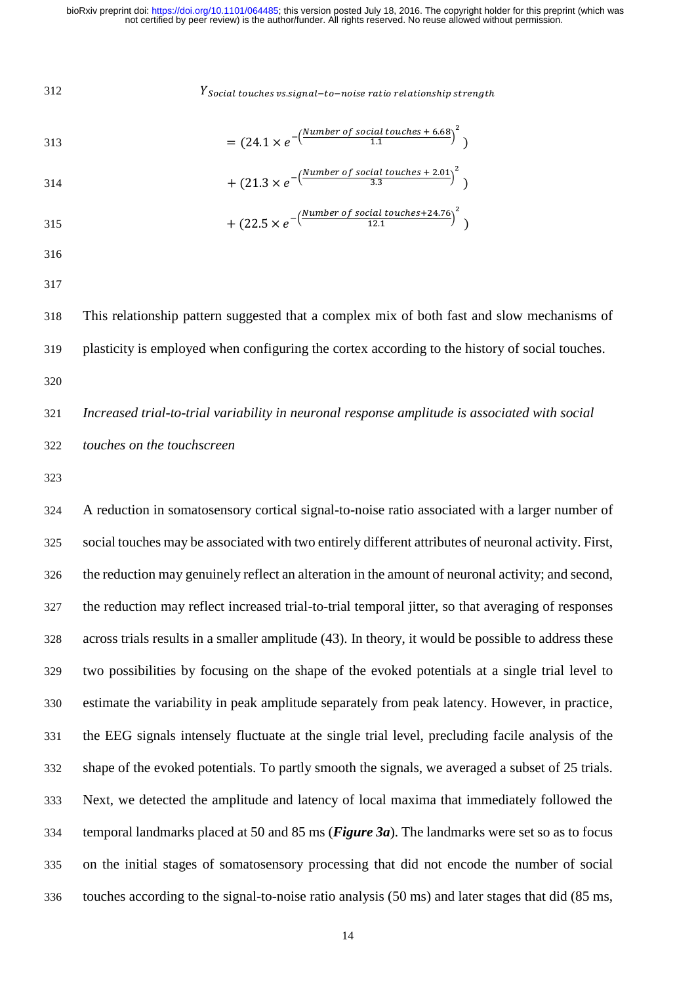*Social touches vs.signal* -to-noise ratio relationship strength

$$
= (24.1 \times e^{-\left(\frac{Number\ of\ social\ touches + 6.68}{1.1}\right)^2})
$$

$$
+ (21.3 \times e^{-\left(\frac{Number\ of\ social\ touches\ +\ 2.01}{3.3}\right)^2})
$$

315 
$$
+ (22.5 \times e^{-\left(\frac{Number\ of\ social\ touches + 24.76}{12.1}\right)^2})
$$

- 
- 

 This relationship pattern suggested that a complex mix of both fast and slow mechanisms of plasticity is employed when configuring the cortex according to the history of social touches.

 *Increased trial-to-trial variability in neuronal response amplitude is associated with social touches on the touchscreen* 

 A reduction in somatosensory cortical signal-to-noise ratio associated with a larger number of social touches may be associated with two entirely different attributes of neuronal activity. First, the reduction may genuinely reflect an alteration in the amount of neuronal activity; and second, the reduction may reflect increased trial-to-trial temporal jitter, so that averaging of responses across trials results in a smaller amplitude (43). In theory, it would be possible to address these two possibilities by focusing on the shape of the evoked potentials at a single trial level to estimate the variability in peak amplitude separately from peak latency. However, in practice, the EEG signals intensely fluctuate at the single trial level, precluding facile analysis of the shape of the evoked potentials. To partly smooth the signals, we averaged a subset of 25 trials. Next, we detected the amplitude and latency of local maxima that immediately followed the temporal landmarks placed at 50 and 85 ms (*Figure 3a*). The landmarks were set so as to focus on the initial stages of somatosensory processing that did not encode the number of social touches according to the signal-to-noise ratio analysis (50 ms) and later stages that did (85 ms,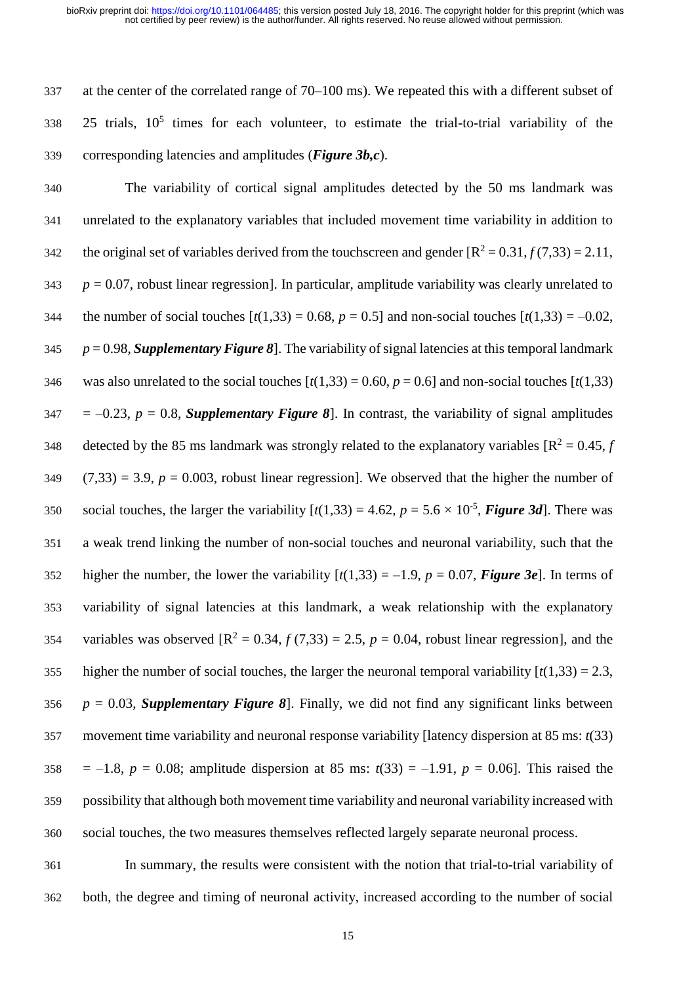337 at the center of the correlated range of 70–100 ms). We repeated this with a different subset of 338 25 trials,  $10^5$  times for each volunteer, to estimate the trial-to-trial variability of the 339 corresponding latencies and amplitudes (*Figure 3b,c*).

340 The variability of cortical signal amplitudes detected by the 50 ms landmark was 341 unrelated to the explanatory variables that included movement time variability in addition to 342 the original set of variables derived from the touchscreen and gender  $[R^2 = 0.31, f(7,33) = 2.11$ ,  $343$  *p* = 0.07, robust linear regression]. In particular, amplitude variability was clearly unrelated to 344 the number of social touches  $[t(1,33) = 0.68, p = 0.5]$  and non-social touches  $[t(1,33) = -0.02,$ 345 *p* = 0.98, *Supplementary Figure 8*]. The variability of signal latencies at this temporal landmark 346 was also unrelated to the social touches  $[t(1,33) = 0.60, p = 0.6]$  and non-social touches  $[t(1,33)]$  $347 = -0.23$ ,  $p = 0.8$ , *Supplementary Figure 8*. In contrast, the variability of signal amplitudes 348 detected by the 85 ms landmark was strongly related to the explanatory variables  $[R^2 = 0.45, f]$  $349$   $(7,33) = 3.9$ ,  $p = 0.003$ , robust linear regression]. We observed that the higher the number of social touches, the larger the variability  $[t(1,33) = 4.62, p = 5.6 \times 10^{-5}$ , *Figure* 3*d*]. There was 351 a weak trend linking the number of non-social touches and neuronal variability, such that the 352 higher the number, the lower the variability  $[t(1,33) = -1.9, p = 0.07, Figure 3e]$ . In terms of 353 variability of signal latencies at this landmark, a weak relationship with the explanatory 354 variables was observed  $[R^2 = 0.34, f(7,33) = 2.5, p = 0.04$ , robust linear regression], and the 355 higher the number of social touches, the larger the neuronal temporal variability  $[t(1,33) = 2.3]$ , 356  $p = 0.03$ , *Supplementary Figure 8*. Finally, we did not find any significant links between 357 movement time variability and neuronal response variability [latency dispersion at 85 ms: *t*(33) 358 = –1.8,  $p = 0.08$ ; amplitude dispersion at 85 ms:  $t(33) = -1.91$ ,  $p = 0.06$ ]. This raised the 359 possibility that although both movement time variability and neuronal variability increased with 360 social touches, the two measures themselves reflected largely separate neuronal process.

361 In summary, the results were consistent with the notion that trial-to-trial variability of 362 both, the degree and timing of neuronal activity, increased according to the number of social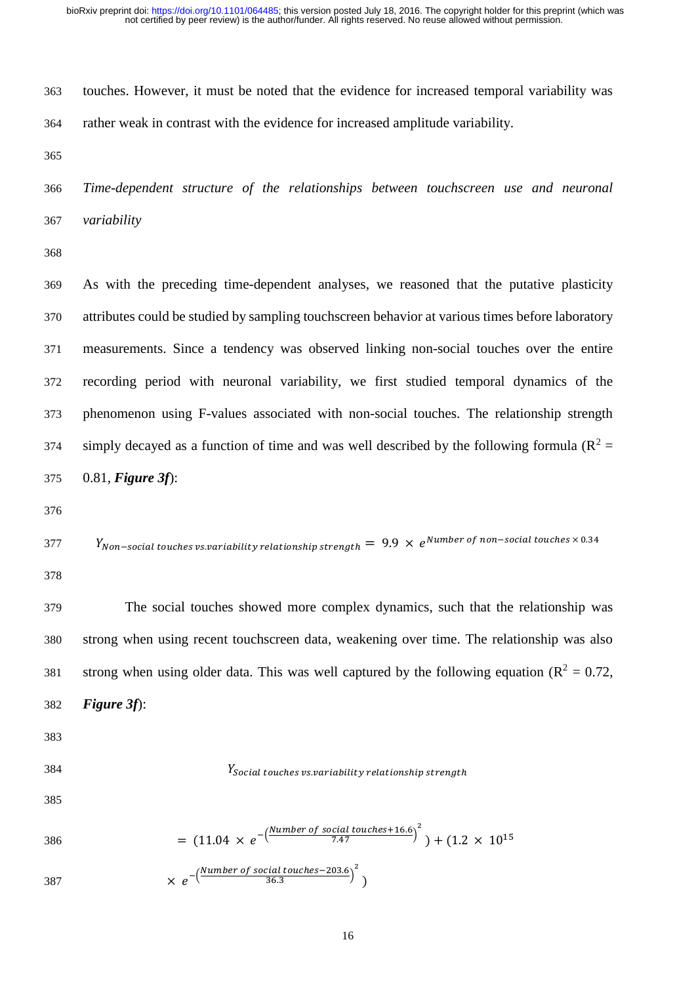touches. However, it must be noted that the evidence for increased temporal variability was rather weak in contrast with the evidence for increased amplitude variability.

 *Time-dependent structure of the relationships between touchscreen use and neuronal variability* 

 As with the preceding time-dependent analyses, we reasoned that the putative plasticity attributes could be studied by sampling touchscreen behavior at various times before laboratory measurements. Since a tendency was observed linking non-social touches over the entire recording period with neuronal variability, we first studied temporal dynamics of the phenomenon using F-values associated with non-social touches. The relationship strength 374 simply decayed as a function of time and was well described by the following formula ( $R^2$  = 0.81, *Figure 3f*):

```
N_{Non-social\,touches\,vs. variability\,relationship\,strength}=~9.9\,\times\,e^{Number\,of\,non-social\,touches\times\,0.34}
```
 The social touches showed more complex dynamics, such that the relationship was strong when using recent touchscreen data, weakening over time. The relationship was also 381 strong when using older data. This was well captured by the following equation ( $\mathbb{R}^2 = 0.72$ , *Figure 3f*):

- 
- 

 $Y_{\text{Social touches}}$  *social touches vs.variability relationship strength* 

 $=$  (11.04  $\times e^{-\left(\frac{Number\ of\ social\ touches+16.6}{7.47}\right)^2}$ 386 =  $(11.04 \times e^{-\frac{1}{2} \times 10^{15}})^+ + (1.2 \times 10^{15})$ −(Number of social touches-203.6 <u>cial touches–203.6</u>)<sup>2</sup><br>36.3

$$
387 \times e^{-(-36.3)} \t) \t)
$$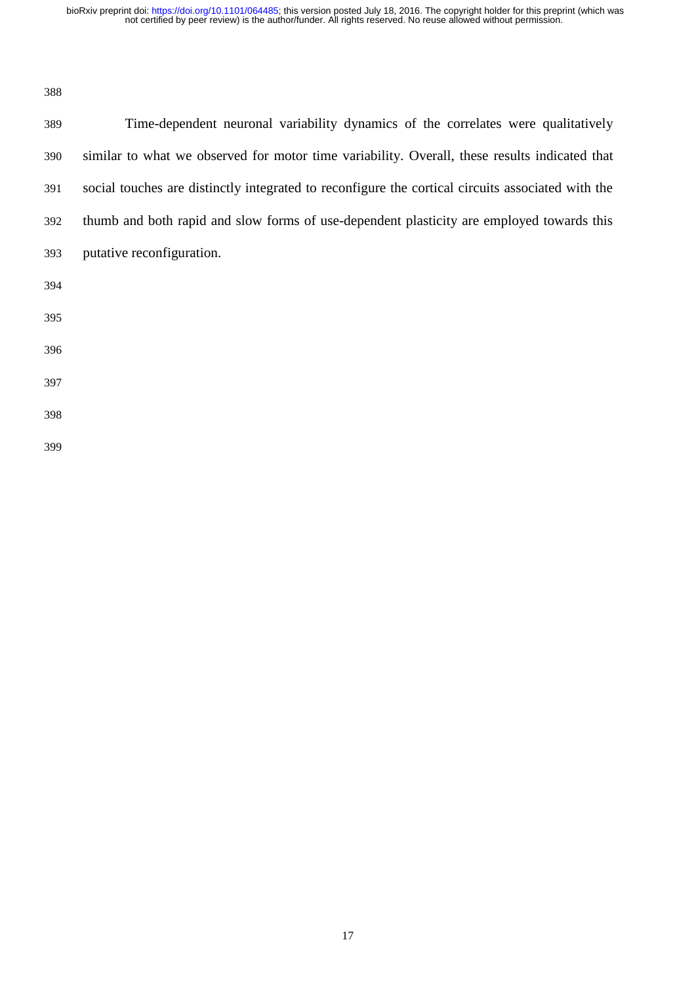not certified by peer review) is the author/funder. All rights reserved. No reuse allowed without permission. bioRxiv preprint doi: [https://doi.org/10.1101/064485;](https://doi.org/10.1101/064485) this version posted July 18, 2016. The copyright holder for this preprint (which was

| 389 | Time-dependent neuronal variability dynamics of the correlates were qualitatively                 |
|-----|---------------------------------------------------------------------------------------------------|
| 390 | similar to what we observed for motor time variability. Overall, these results indicated that     |
| 391 | social touches are distinctly integrated to reconfigure the cortical circuits associated with the |
| 392 | thumb and both rapid and slow forms of use-dependent plasticity are employed towards this         |
| 393 | putative reconfiguration.                                                                         |
| 394 |                                                                                                   |
| 395 |                                                                                                   |
| 396 |                                                                                                   |
| 397 |                                                                                                   |
| 398 |                                                                                                   |
| 399 |                                                                                                   |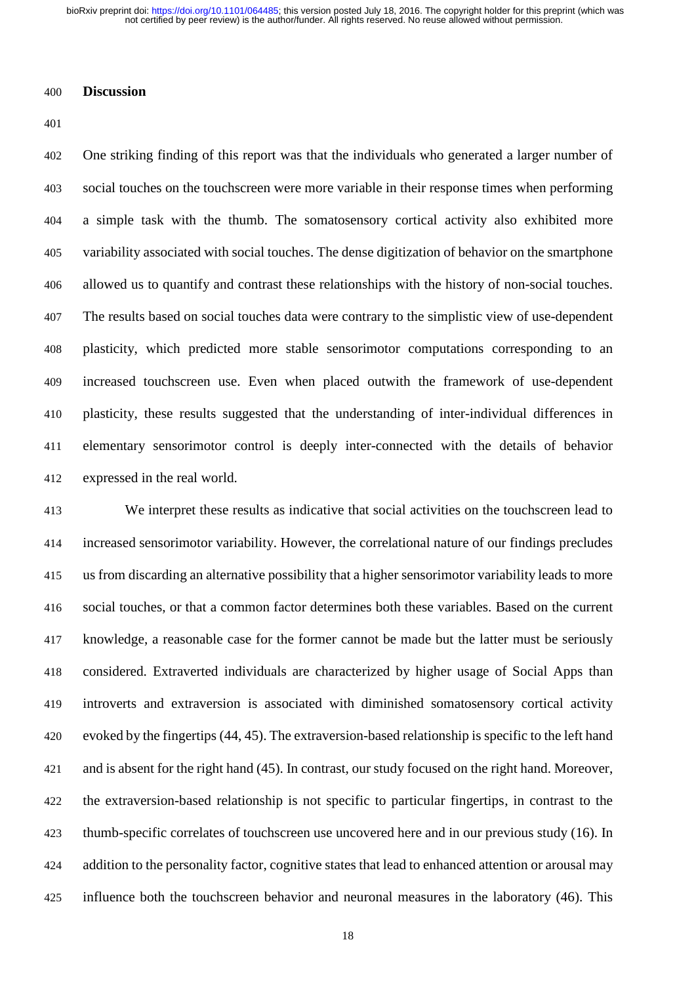not certified by peer review) is the author/funder. All rights reserved. No reuse allowed without permission. bioRxiv preprint doi: [https://doi.org/10.1101/064485;](https://doi.org/10.1101/064485) this version posted July 18, 2016. The copyright holder for this preprint (which was

## **Discussion**

 One striking finding of this report was that the individuals who generated a larger number of social touches on the touchscreen were more variable in their response times when performing a simple task with the thumb. The somatosensory cortical activity also exhibited more variability associated with social touches. The dense digitization of behavior on the smartphone allowed us to quantify and contrast these relationships with the history of non-social touches. The results based on social touches data were contrary to the simplistic view of use-dependent plasticity, which predicted more stable sensorimotor computations corresponding to an increased touchscreen use. Even when placed outwith the framework of use-dependent plasticity, these results suggested that the understanding of inter-individual differences in elementary sensorimotor control is deeply inter-connected with the details of behavior expressed in the real world.

 We interpret these results as indicative that social activities on the touchscreen lead to increased sensorimotor variability. However, the correlational nature of our findings precludes us from discarding an alternative possibility that a higher sensorimotor variability leads to more social touches, or that a common factor determines both these variables. Based on the current knowledge, a reasonable case for the former cannot be made but the latter must be seriously considered. Extraverted individuals are characterized by higher usage of Social Apps than introverts and extraversion is associated with diminished somatosensory cortical activity evoked by the fingertips (44, 45). The extraversion-based relationship is specific to the left hand and is absent for the right hand (45). In contrast, our study focused on the right hand. Moreover, the extraversion-based relationship is not specific to particular fingertips, in contrast to the thumb-specific correlates of touchscreen use uncovered here and in our previous study (16). In addition to the personality factor, cognitive states that lead to enhanced attention or arousal may influence both the touchscreen behavior and neuronal measures in the laboratory (46). This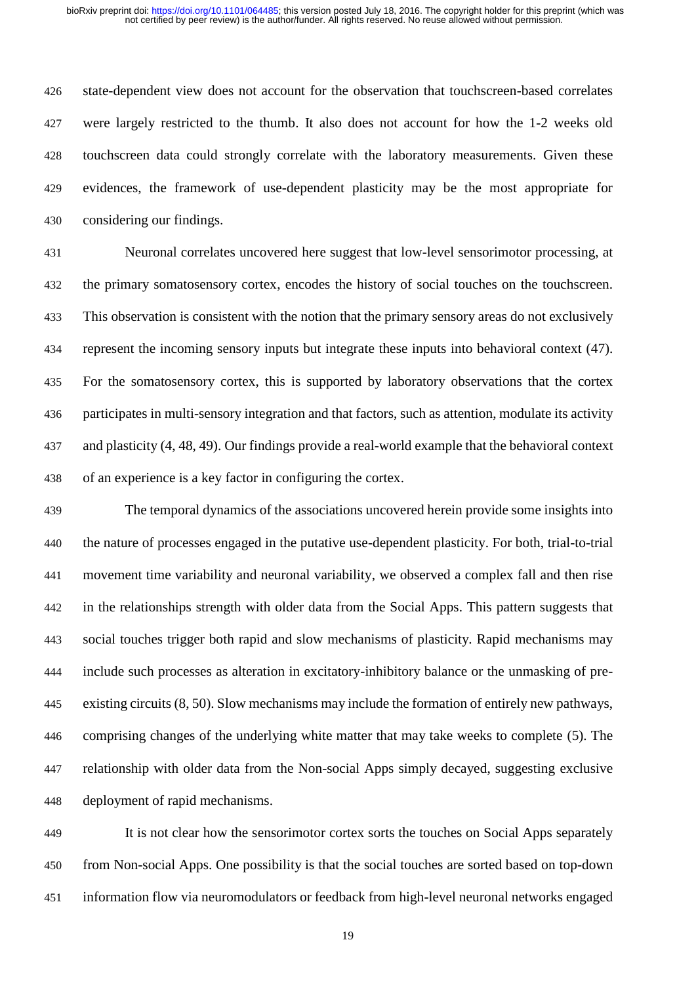state-dependent view does not account for the observation that touchscreen-based correlates were largely restricted to the thumb. It also does not account for how the 1-2 weeks old touchscreen data could strongly correlate with the laboratory measurements. Given these evidences, the framework of use-dependent plasticity may be the most appropriate for considering our findings.

 Neuronal correlates uncovered here suggest that low-level sensorimotor processing, at the primary somatosensory cortex, encodes the history of social touches on the touchscreen. This observation is consistent with the notion that the primary sensory areas do not exclusively represent the incoming sensory inputs but integrate these inputs into behavioral context (47). For the somatosensory cortex, this is supported by laboratory observations that the cortex participates in multi-sensory integration and that factors, such as attention, modulate its activity and plasticity (4, 48, 49). Our findings provide a real-world example that the behavioral context of an experience is a key factor in configuring the cortex.

 The temporal dynamics of the associations uncovered herein provide some insights into the nature of processes engaged in the putative use-dependent plasticity. For both, trial-to-trial movement time variability and neuronal variability, we observed a complex fall and then rise in the relationships strength with older data from the Social Apps. This pattern suggests that social touches trigger both rapid and slow mechanisms of plasticity. Rapid mechanisms may include such processes as alteration in excitatory-inhibitory balance or the unmasking of pre- existing circuits (8, 50). Slow mechanisms may include the formation of entirely new pathways, comprising changes of the underlying white matter that may take weeks to complete (5). The relationship with older data from the Non-social Apps simply decayed, suggesting exclusive deployment of rapid mechanisms.

 It is not clear how the sensorimotor cortex sorts the touches on Social Apps separately from Non-social Apps. One possibility is that the social touches are sorted based on top-down information flow via neuromodulators or feedback from high-level neuronal networks engaged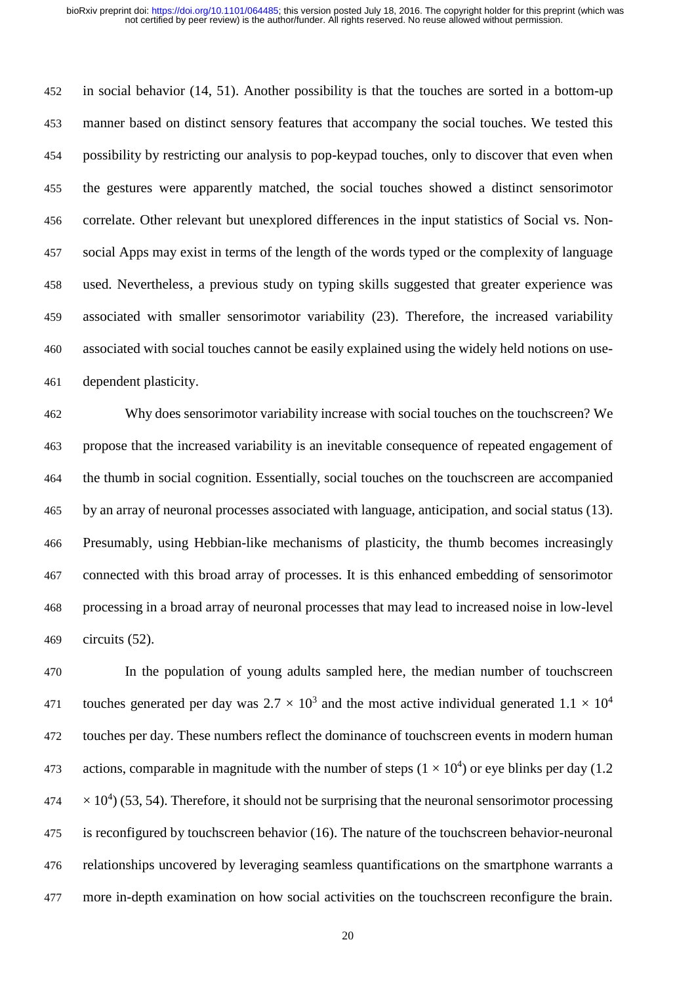in social behavior (14, 51). Another possibility is that the touches are sorted in a bottom-up manner based on distinct sensory features that accompany the social touches. We tested this possibility by restricting our analysis to pop-keypad touches, only to discover that even when the gestures were apparently matched, the social touches showed a distinct sensorimotor correlate. Other relevant but unexplored differences in the input statistics of Social vs. Non- social Apps may exist in terms of the length of the words typed or the complexity of language used. Nevertheless, a previous study on typing skills suggested that greater experience was associated with smaller sensorimotor variability (23). Therefore, the increased variability associated with social touches cannot be easily explained using the widely held notions on use-dependent plasticity.

 Why does sensorimotor variability increase with social touches on the touchscreen? We propose that the increased variability is an inevitable consequence of repeated engagement of the thumb in social cognition. Essentially, social touches on the touchscreen are accompanied by an array of neuronal processes associated with language, anticipation, and social status (13). Presumably, using Hebbian-like mechanisms of plasticity, the thumb becomes increasingly connected with this broad array of processes. It is this enhanced embedding of sensorimotor processing in a broad array of neuronal processes that may lead to increased noise in low-level circuits (52).

 In the population of young adults sampled here, the median number of touchscreen touches generated per day was  $2.7 \times 10^3$  and the most active individual generated  $1.1 \times 10^4$  touches per day. These numbers reflect the dominance of touchscreen events in modern human 473 actions, comparable in magnitude with the number of steps  $(1 \times 10^4)$  or eye blinks per day (1.2)  $474 \times 10^4$ ) (53, 54). Therefore, it should not be surprising that the neuronal sensorimotor processing is reconfigured by touchscreen behavior (16). The nature of the touchscreen behavior-neuronal relationships uncovered by leveraging seamless quantifications on the smartphone warrants a more in-depth examination on how social activities on the touchscreen reconfigure the brain.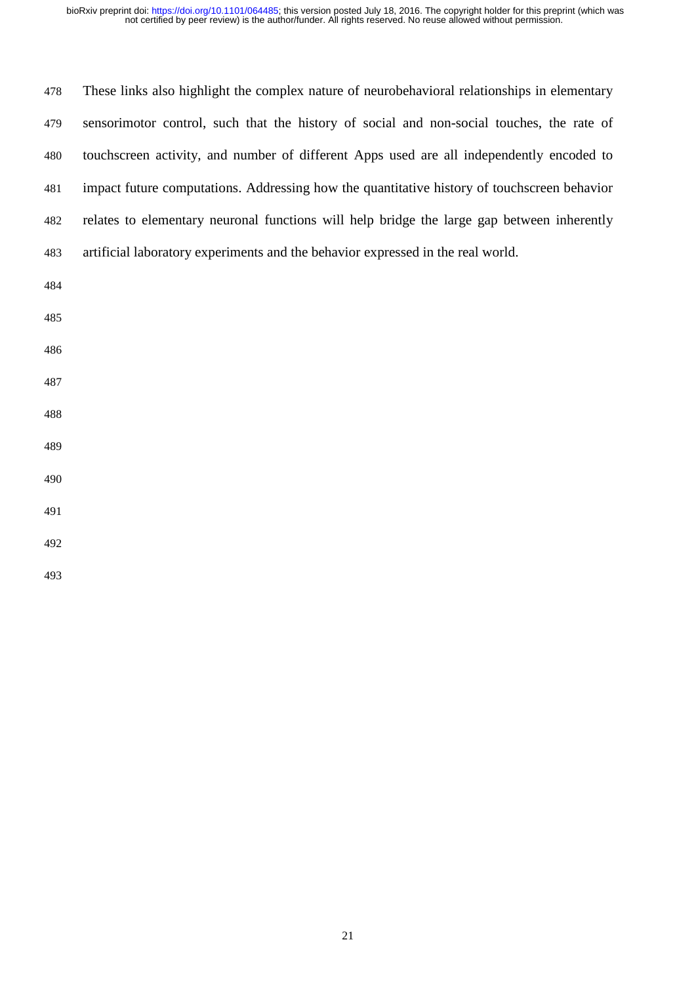| 478 | These links also highlight the complex nature of neurobehavioral relationships in elementary |
|-----|----------------------------------------------------------------------------------------------|
| 479 | sensorimotor control, such that the history of social and non-social touches, the rate of    |
| 480 | touchscreen activity, and number of different Apps used are all independently encoded to     |
| 481 | impact future computations. Addressing how the quantitative history of touchscreen behavior  |
| 482 | relates to elementary neuronal functions will help bridge the large gap between inherently   |
| 483 | artificial laboratory experiments and the behavior expressed in the real world.              |
| 484 |                                                                                              |
| 485 |                                                                                              |
| 486 |                                                                                              |
| 487 |                                                                                              |
| 488 |                                                                                              |
| 489 |                                                                                              |
| 490 |                                                                                              |
| 491 |                                                                                              |
| 492 |                                                                                              |
| 493 |                                                                                              |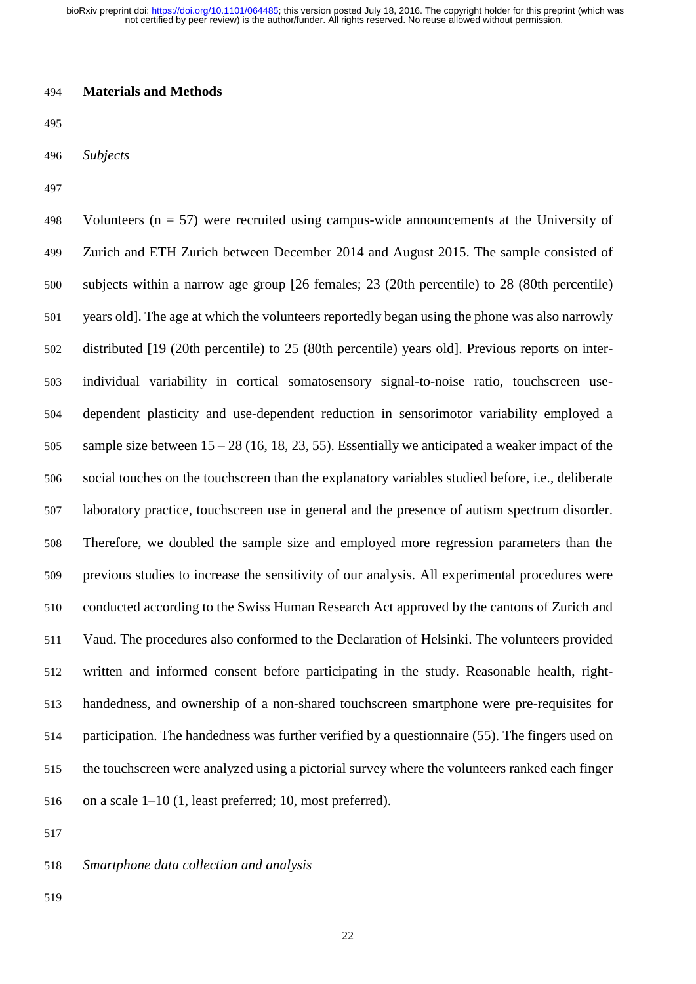not certified by peer review) is the author/funder. All rights reserved. No reuse allowed without permission. bioRxiv preprint doi: [https://doi.org/10.1101/064485;](https://doi.org/10.1101/064485) this version posted July 18, 2016. The copyright holder for this preprint (which was

## **Materials and Methods**

| ۰.<br>٠<br>۰.<br>× | I |
|--------------------|---|
|--------------------|---|

*Subjects*

498 Volunteers ( $n = 57$ ) were recruited using campus-wide announcements at the University of Zurich and ETH Zurich between December 2014 and August 2015. The sample consisted of subjects within a narrow age group [26 females; 23 (20th percentile) to 28 (80th percentile) years old]. The age at which the volunteers reportedly began using the phone was also narrowly distributed [19 (20th percentile) to 25 (80th percentile) years old]. Previous reports on inter- individual variability in cortical somatosensory signal-to-noise ratio, touchscreen use- dependent plasticity and use-dependent reduction in sensorimotor variability employed a sample size between 15 – 28 (16, 18, 23, 55). Essentially we anticipated a weaker impact of the social touches on the touchscreen than the explanatory variables studied before, i.e., deliberate laboratory practice, touchscreen use in general and the presence of autism spectrum disorder. Therefore, we doubled the sample size and employed more regression parameters than the previous studies to increase the sensitivity of our analysis. All experimental procedures were conducted according to the Swiss Human Research Act approved by the cantons of Zurich and Vaud. The procedures also conformed to the Declaration of Helsinki. The volunteers provided written and informed consent before participating in the study. Reasonable health, right- handedness, and ownership of a non-shared touchscreen smartphone were pre-requisites for participation. The handedness was further verified by a questionnaire (55). The fingers used on the touchscreen were analyzed using a pictorial survey where the volunteers ranked each finger on a scale 1–10 (1, least preferred; 10, most preferred).

*Smartphone data collection and analysis*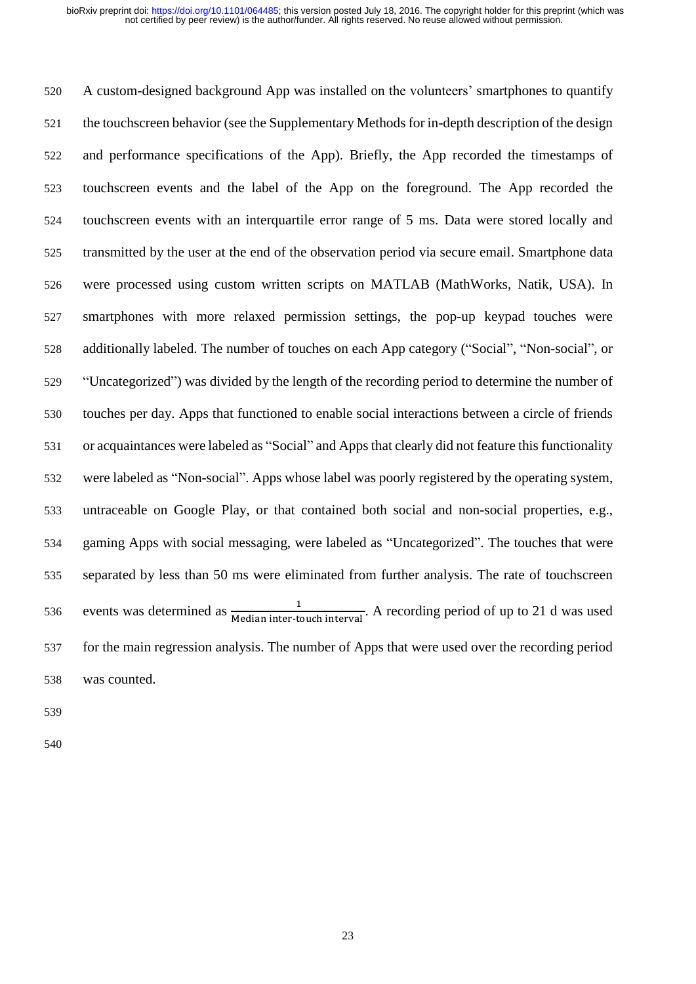A custom-designed background App was installed on the volunteers' smartphones to quantify the touchscreen behavior (see the Supplementary Methods for in-depth description of the design and performance specifications of the App). Briefly, the App recorded the timestamps of touchscreen events and the label of the App on the foreground. The App recorded the touchscreen events with an interquartile error range of 5 ms. Data were stored locally and transmitted by the user at the end of the observation period via secure email. Smartphone data were processed using custom written scripts on MATLAB (MathWorks, Natik, USA). In smartphones with more relaxed permission settings, the pop-up keypad touches were additionally labeled. The number of touches on each App category ("Social", "Non-social", or "Uncategorized") was divided by the length of the recording period to determine the number of touches per day. Apps that functioned to enable social interactions between a circle of friends or acquaintances were labeled as "Social" and Apps that clearly did not feature this functionality were labeled as "Non-social". Apps whose label was poorly registered by the operating system, untraceable on Google Play, or that contained both social and non-social properties, e.g., gaming Apps with social messaging, were labeled as "Uncategorized". The touches that were separated by less than 50 ms were eliminated from further analysis. The rate of touchscreen 536 events was determined as  $\frac{1}{\text{Median inter-touch interval}}$ . A recording period of up to 21 d was used for the main regression analysis. The number of Apps that were used over the recording period was counted.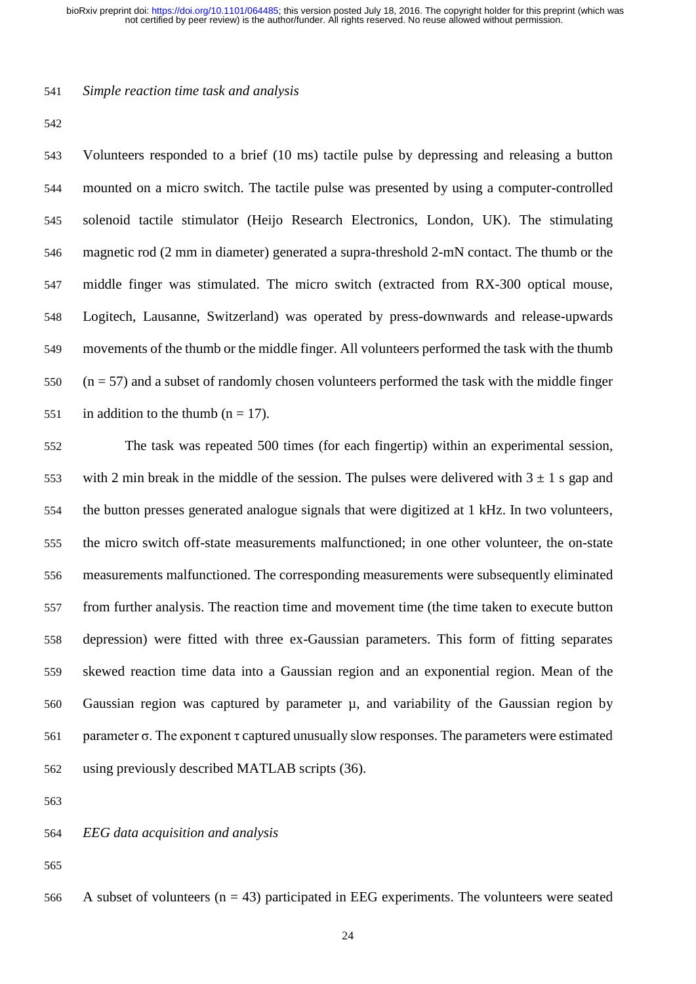*Simple reaction time task and analysis* 

 Volunteers responded to a brief (10 ms) tactile pulse by depressing and releasing a button mounted on a micro switch. The tactile pulse was presented by using a computer-controlled solenoid tactile stimulator (Heijo Research Electronics, London, UK). The stimulating magnetic rod (2 mm in diameter) generated a supra-threshold 2-mN contact. The thumb or the middle finger was stimulated. The micro switch (extracted from RX-300 optical mouse, Logitech, Lausanne, Switzerland) was operated by press-downwards and release-upwards movements of the thumb or the middle finger. All volunteers performed the task with the thumb (n = 57) and a subset of randomly chosen volunteers performed the task with the middle finger 551 in addition to the thumb  $(n = 17)$ .

 The task was repeated 500 times (for each fingertip) within an experimental session, 553 with 2 min break in the middle of the session. The pulses were delivered with  $3 \pm 1$  s gap and the button presses generated analogue signals that were digitized at 1 kHz. In two volunteers, the micro switch off-state measurements malfunctioned; in one other volunteer, the on-state measurements malfunctioned. The corresponding measurements were subsequently eliminated from further analysis. The reaction time and movement time (the time taken to execute button depression) were fitted with three ex-Gaussian parameters. This form of fitting separates skewed reaction time data into a Gaussian region and an exponential region. Mean of the 560 Gaussian region was captured by parameter  $\mu$ , and variability of the Gaussian region by 561 parameter  $\sigma$ . The exponent  $\tau$  captured unusually slow responses. The parameters were estimated using previously described MATLAB scripts (36).

*EEG data acquisition and analysis* 

566 A subset of volunteers  $(n = 43)$  participated in EEG experiments. The volunteers were seated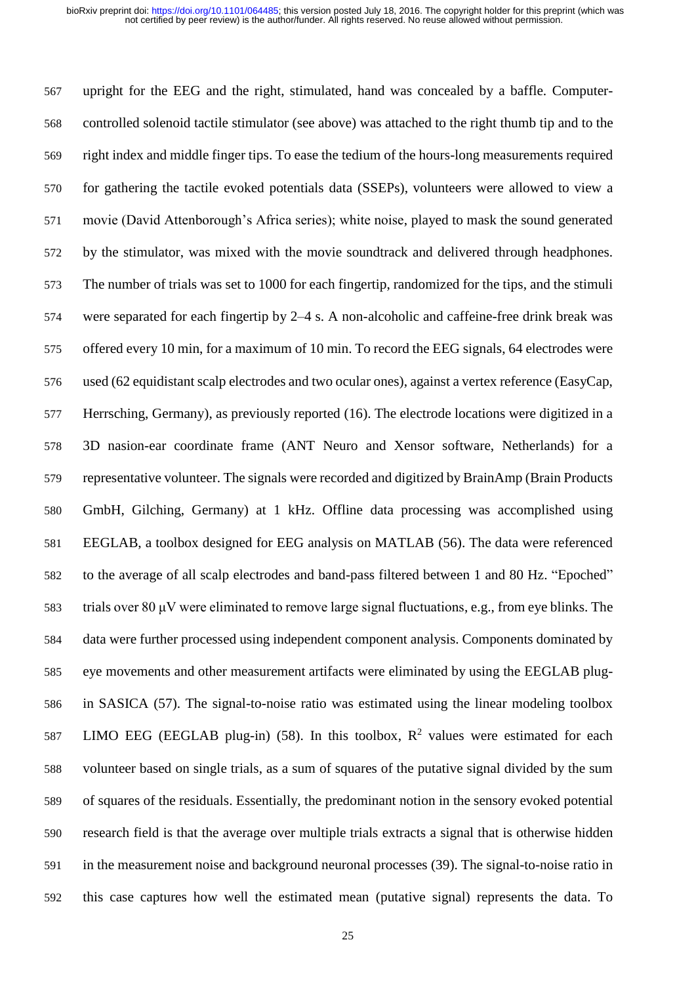upright for the EEG and the right, stimulated, hand was concealed by a baffle. Computer- controlled solenoid tactile stimulator (see above) was attached to the right thumb tip and to the right index and middle finger tips. To ease the tedium of the hours-long measurements required for gathering the tactile evoked potentials data (SSEPs), volunteers were allowed to view a movie (David Attenborough's Africa series); white noise, played to mask the sound generated by the stimulator, was mixed with the movie soundtrack and delivered through headphones. The number of trials was set to 1000 for each fingertip, randomized for the tips, and the stimuli were separated for each fingertip by 2–4 s. A non-alcoholic and caffeine-free drink break was offered every 10 min, for a maximum of 10 min. To record the EEG signals, 64 electrodes were used (62 equidistant scalp electrodes and two ocular ones), against a vertex reference (EasyCap, Herrsching, Germany), as previously reported (16). The electrode locations were digitized in a 3D nasion-ear coordinate frame (ANT Neuro and Xensor software, Netherlands) for a representative volunteer. The signals were recorded and digitized by BrainAmp (Brain Products GmbH, Gilching, Germany) at 1 kHz. Offline data processing was accomplished using EEGLAB, a toolbox designed for EEG analysis on MATLAB (56). The data were referenced to the average of all scalp electrodes and band-pass filtered between 1 and 80 Hz. "Epoched" trials over 80 μV were eliminated to remove large signal fluctuations, e.g., from eye blinks. The data were further processed using independent component analysis. Components dominated by eye movements and other measurement artifacts were eliminated by using the EEGLAB plug- in SASICA (57). The signal-to-noise ratio was estimated using the linear modeling toolbox 587 LIMO EEG (EEGLAB plug-in) (58). In this toolbox,  $R^2$  values were estimated for each volunteer based on single trials, as a sum of squares of the putative signal divided by the sum of squares of the residuals. Essentially, the predominant notion in the sensory evoked potential research field is that the average over multiple trials extracts a signal that is otherwise hidden in the measurement noise and background neuronal processes (39). The signal-to-noise ratio in this case captures how well the estimated mean (putative signal) represents the data. To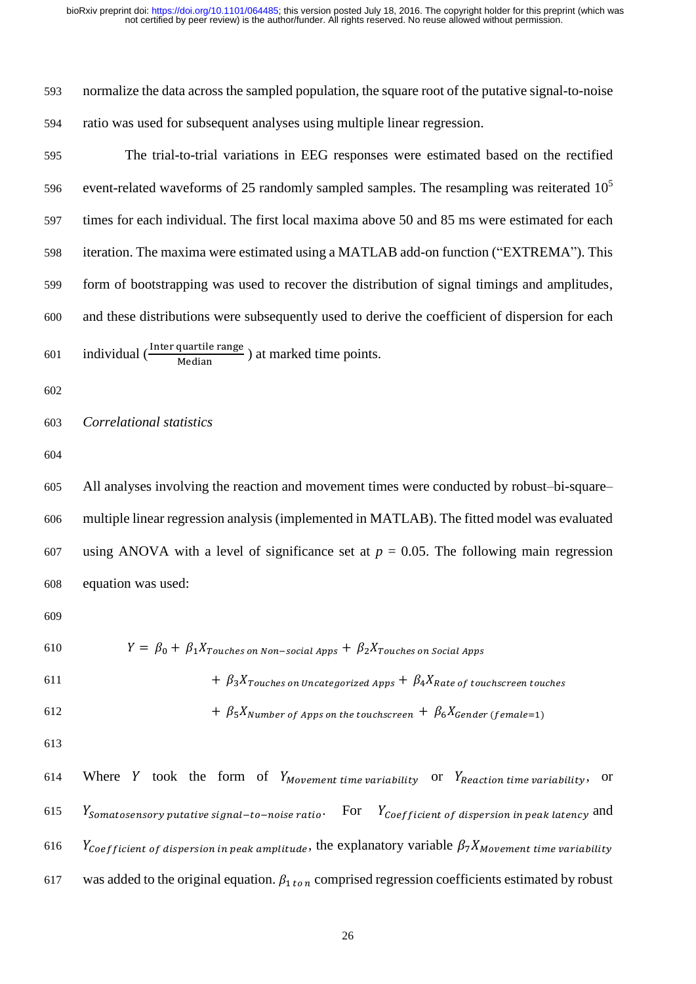normalize the data across the sampled population, the square root of the putative signal-to-noise ratio was used for subsequent analyses using multiple linear regression.

 The trial-to-trial variations in EEG responses were estimated based on the rectified event-related waveforms of 25 randomly sampled samples. The resampling was reiterated 10<sup>5</sup> times for each individual. The first local maxima above 50 and 85 ms were estimated for each iteration. The maxima were estimated using a MATLAB add-on function ("EXTREMA"). This form of bootstrapping was used to recover the distribution of signal timings and amplitudes, and these distributions were subsequently used to derive the coefficient of dispersion for each 601 individual  $\left(\frac{\text{Inter quartile range}}{\text{Median}}\right)$  at marked time points.

## *Correlational statistics*

 All analyses involving the reaction and movement times were conducted by robust–bi-square– multiple linear regression analysis (implemented in MATLAB). The fitted model was evaluated 607 using ANOVA with a level of significance set at  $p = 0.05$ . The following main regression equation was used:

610 
$$
Y = \beta_0 + \beta_1 X_{Touches \text{ on Non-social Apps}} + \beta_2 X_{Touches \text{ on Social Apps}}
$$

611 
$$
+ \beta_3 X_{Touches \text{ on Uncategorical Apps}} + \beta_4 X_{Rate \text{ of touchescreen touches}}
$$

$$
+ \beta_5 X_{Number\ of\ Apps\ on\ the\ touches\ creen} + \beta_6 X_{Gender\ (female=1)}
$$

614 Where Y took the form of  $Y_{Movenent\ time\ variability}$  or  $Y_{Reaction\ time\ variability}$ , or 615  $Y_{\text{Somatosensory putative signal-to-noise ratio}}$  For  $Y_{\text{Coefficient of dispersion in peak latency}}$  and 616 Ycoefficient of dispersion in peak amplitude, the explanatory variable  $\beta_7 X_{Movement}$  time variability 617 was added to the original equation.  $\beta_{1\text{ to }n}$  comprised regression coefficients estimated by robust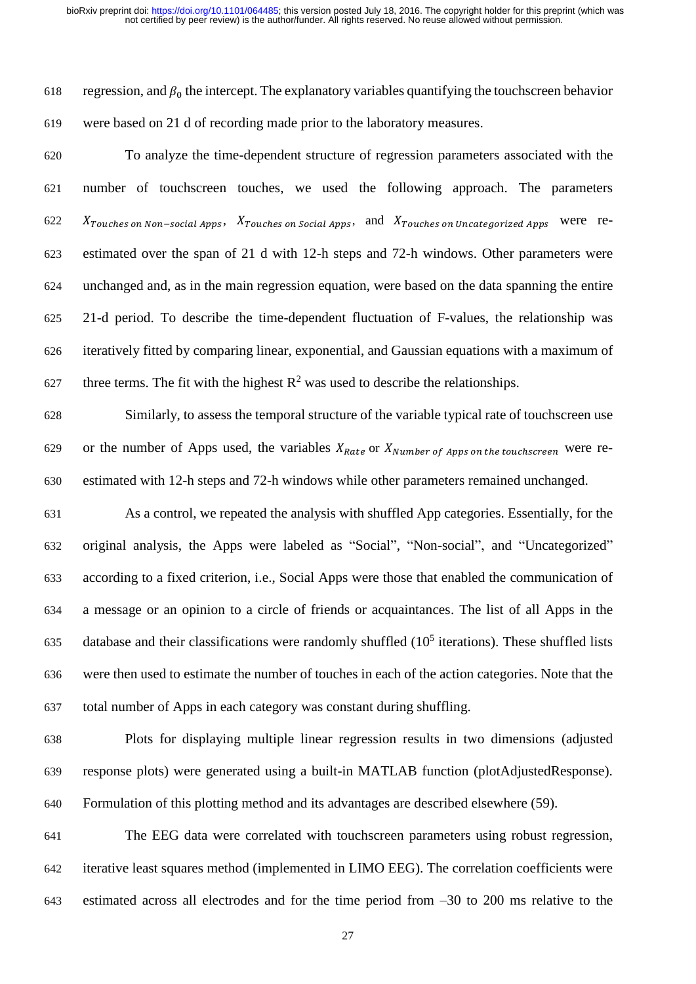618 regression, and  $\beta_0$  the intercept. The explanatory variables quantifying the touchscreen behavior were based on 21 d of recording made prior to the laboratory measures.

 To analyze the time-dependent structure of regression parameters associated with the number of touchscreen touches, we used the following approach. The parameters  $\delta$  622  $X_{Touches\ on\ Non-social\ Apps},\ X_{Touches\ on\ Social\ Apps},\$  and  $X_{Touches\ on\ Uncategorical\ Apps}$  were re- estimated over the span of 21 d with 12-h steps and 72-h windows. Other parameters were unchanged and, as in the main regression equation, were based on the data spanning the entire 21-d period. To describe the time-dependent fluctuation of F-values, the relationship was iteratively fitted by comparing linear, exponential, and Gaussian equations with a maximum of 627 three terms. The fit with the highest  $\mathbb{R}^2$  was used to describe the relationships.

 Similarly, to assess the temporal structure of the variable typical rate of touchscreen use 629 or the number of Apps used, the variables  $X_{Rate}$  or  $X_{Number of$  *Apps on the touchscreen* were re-estimated with 12-h steps and 72-h windows while other parameters remained unchanged.

 As a control, we repeated the analysis with shuffled App categories. Essentially, for the original analysis, the Apps were labeled as "Social", "Non-social", and "Uncategorized" according to a fixed criterion, i.e., Social Apps were those that enabled the communication of a message or an opinion to a circle of friends or acquaintances. The list of all Apps in the 635 database and their classifications were randomly shuffled  $(10<sup>5</sup>$  iterations). These shuffled lists were then used to estimate the number of touches in each of the action categories. Note that the total number of Apps in each category was constant during shuffling.

 Plots for displaying multiple linear regression results in two dimensions (adjusted response plots) were generated using a built-in MATLAB function (plotAdjustedResponse). Formulation of this plotting method and its advantages are described elsewhere (59).

 The EEG data were correlated with touchscreen parameters using robust regression, iterative least squares method (implemented in LIMO EEG). The correlation coefficients were estimated across all electrodes and for the time period from –30 to 200 ms relative to the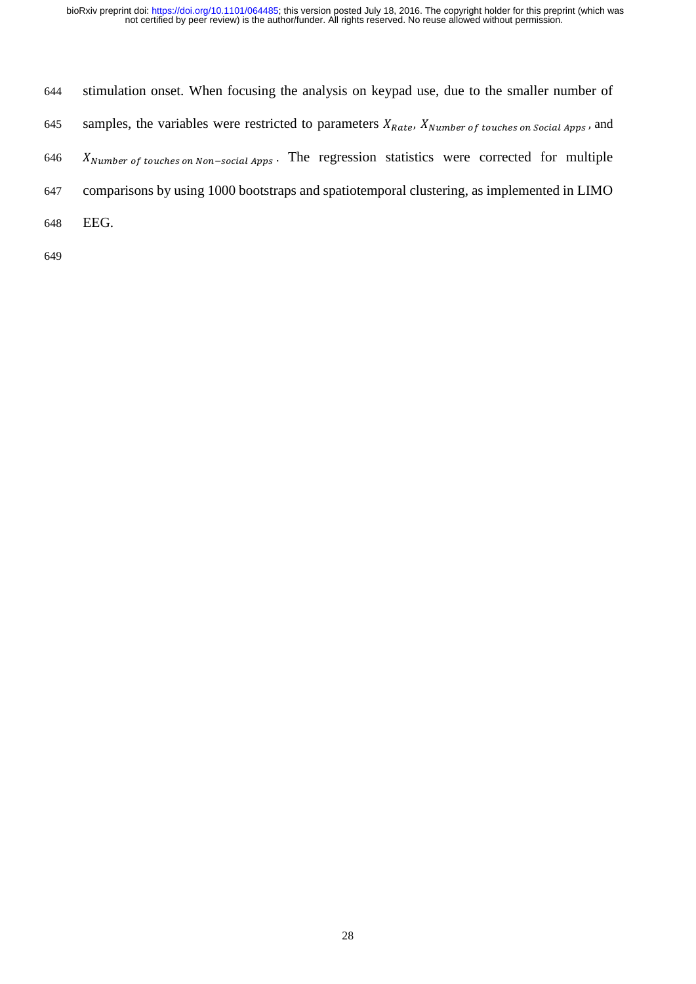644 stimulation onset. When focusing the analysis on keypad use, due to the smaller number of 645 samples, the variables were restricted to parameters  $X_{Rate}$ ,  $X_{Number\ of\ touches\ on\ Social\ Apps}$ , and  $K_{Number\ of\ touches\ on\ Non-social\ Apps}$ . The regression statistics were corrected for multiple 647 comparisons by using 1000 bootstraps and spatiotemporal clustering, as implemented in LIMO 648 EEG.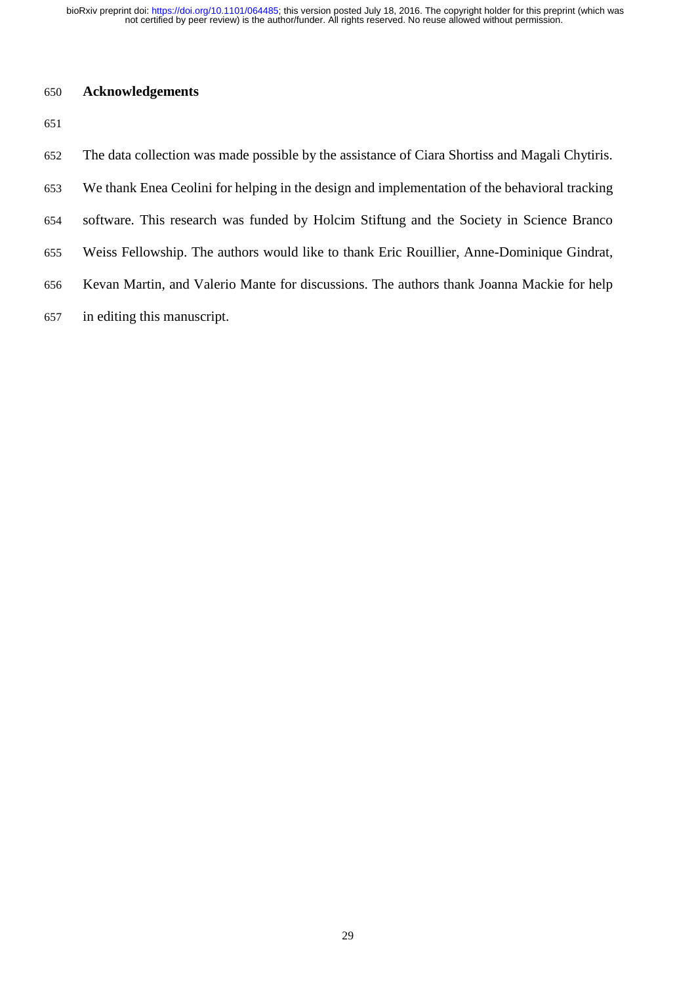not certified by peer review) is the author/funder. All rights reserved. No reuse allowed without permission. bioRxiv preprint doi: [https://doi.org/10.1101/064485;](https://doi.org/10.1101/064485) this version posted July 18, 2016. The copyright holder for this preprint (which was

# **Acknowledgements**

| 652 | The data collection was made possible by the assistance of Ciara Shortiss and Magali Chytiris. |
|-----|------------------------------------------------------------------------------------------------|
| 653 | We thank Enea Ceolini for helping in the design and implementation of the behavioral tracking  |
| 654 | software. This research was funded by Holcim Stiftung and the Society in Science Branco        |
| 655 | Weiss Fellowship. The authors would like to thank Eric Rouillier, Anne-Dominique Gindrat,      |
| 656 | Kevan Martin, and Valerio Mante for discussions. The authors thank Joanna Mackie for help      |
| 657 | in editing this manuscript.                                                                    |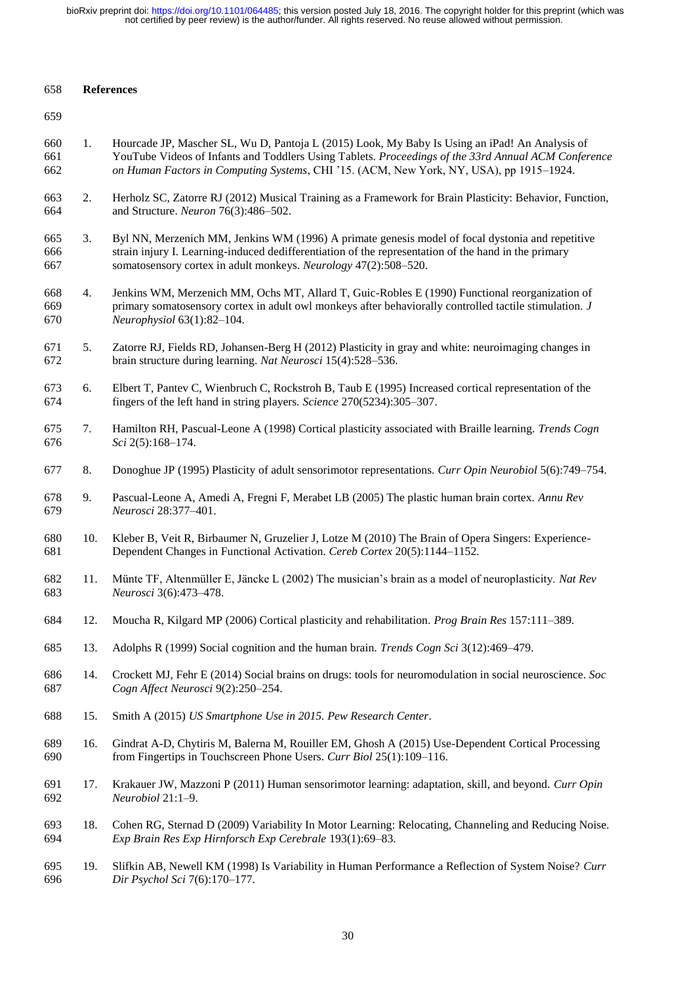#### **References**

- 1. Hourcade JP, Mascher SL, Wu D, Pantoja L (2015) Look, My Baby Is Using an iPad! An Analysis of YouTube Videos of Infants and Toddlers Using Tablets. *Proceedings of the 33rd Annual ACM Conference on Human Factors in Computing Systems*, CHI '15. (ACM, New York, NY, USA), pp 1915–1924.
- 2. Herholz SC, Zatorre RJ (2012) Musical Training as a Framework for Brain Plasticity: Behavior, Function, and Structure. *Neuron* 76(3):486–502.
- 3. Byl NN, Merzenich MM, Jenkins WM (1996) A primate genesis model of focal dystonia and repetitive strain injury I. Learning-induced dedifferentiation of the representation of the hand in the primary somatosensory cortex in adult monkeys. *Neurology* 47(2):508–520.
- 4. Jenkins WM, Merzenich MM, Ochs MT, Allard T, Guic-Robles E (1990) Functional reorganization of primary somatosensory cortex in adult owl monkeys after behaviorally controlled tactile stimulation. *J Neurophysiol* 63(1):82–104.
- 5. Zatorre RJ, Fields RD, Johansen-Berg H (2012) Plasticity in gray and white: neuroimaging changes in brain structure during learning. *Nat Neurosci* 15(4):528–536.
- 6. Elbert T, Pantev C, Wienbruch C, Rockstroh B, Taub E (1995) Increased cortical representation of the fingers of the left hand in string players. *Science* 270(5234):305–307.
- 7. Hamilton RH, Pascual-Leone A (1998) Cortical plasticity associated with Braille learning. *Trends Cogn Sci* 2(5):168–174.
- 8. Donoghue JP (1995) Plasticity of adult sensorimotor representations. *Curr Opin Neurobiol* 5(6):749–754.
- 9. Pascual-Leone A, Amedi A, Fregni F, Merabet LB (2005) The plastic human brain cortex. *Annu Rev Neurosci* 28:377–401.
- 10. Kleber B, Veit R, Birbaumer N, Gruzelier J, Lotze M (2010) The Brain of Opera Singers: Experience-Dependent Changes in Functional Activation. *Cereb Cortex* 20(5):1144–1152.
- 11. Münte TF, Altenmüller E, Jäncke L (2002) The musician's brain as a model of neuroplasticity. *Nat Rev Neurosci* 3(6):473–478.
- 12. Moucha R, Kilgard MP (2006) Cortical plasticity and rehabilitation. *Prog Brain Res* 157:111–389.
- 13. Adolphs R (1999) Social cognition and the human brain. *Trends Cogn Sci* 3(12):469–479.
- 14. Crockett MJ, Fehr E (2014) Social brains on drugs: tools for neuromodulation in social neuroscience. *Soc Cogn Affect Neurosci* 9(2):250–254.
- 15. Smith A (2015) *US Smartphone Use in 2015. Pew Research Center*.
- 16. Gindrat A-D, Chytiris M, Balerna M, Rouiller EM, Ghosh A (2015) Use-Dependent Cortical Processing from Fingertips in Touchscreen Phone Users. *Curr Biol* 25(1):109–116.
- 17. Krakauer JW, Mazzoni P (2011) Human sensorimotor learning: adaptation, skill, and beyond. *Curr Opin Neurobiol* 21:1–9.
- 18. Cohen RG, Sternad D (2009) Variability In Motor Learning: Relocating, Channeling and Reducing Noise. *Exp Brain Res Exp Hirnforsch Exp Cerebrale* 193(1):69–83.
- 19. Slifkin AB, Newell KM (1998) Is Variability in Human Performance a Reflection of System Noise? *Curr Dir Psychol Sci* 7(6):170–177.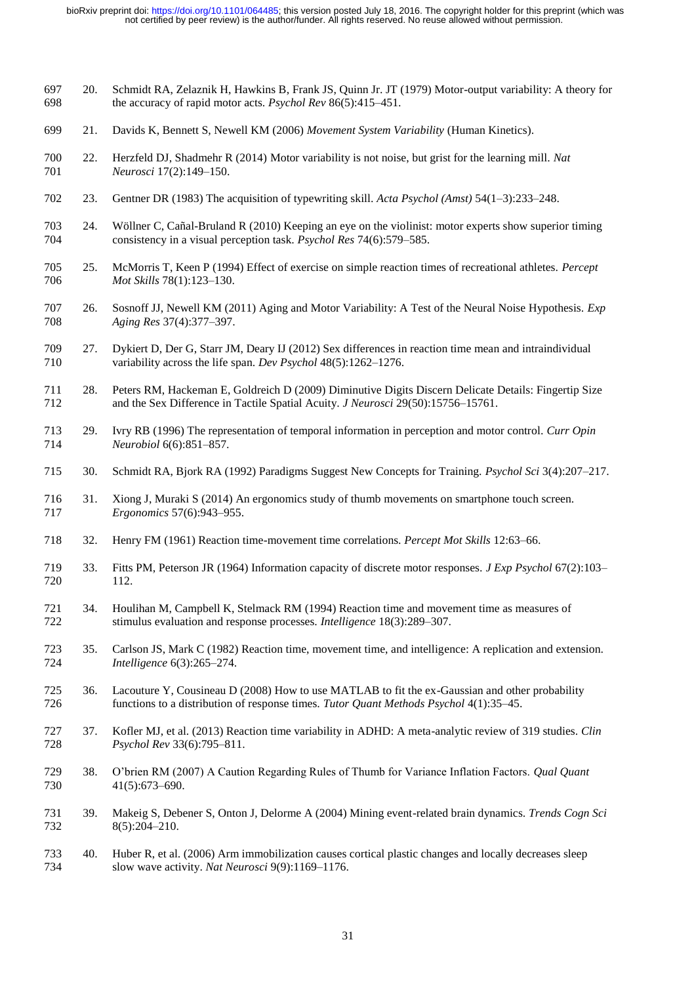- 20. Schmidt RA, Zelaznik H, Hawkins B, Frank JS, Quinn Jr. JT (1979) Motor-output variability: A theory for the accuracy of rapid motor acts. *Psychol Rev* 86(5):415–451.
- 21. Davids K, Bennett S, Newell KM (2006) *Movement System Variability* (Human Kinetics).
- 22. Herzfeld DJ, Shadmehr R (2014) Motor variability is not noise, but grist for the learning mill. *Nat Neurosci* 17(2):149–150.
- 23. Gentner DR (1983) The acquisition of typewriting skill. *Acta Psychol (Amst)* 54(1–3):233–248.
- 24. Wöllner C, Cañal-Bruland R (2010) Keeping an eye on the violinist: motor experts show superior timing consistency in a visual perception task. *Psychol Res* 74(6):579–585. consistency in a visual perception task. *Psychol Res* 74(6):579–585.
- 25. McMorris T, Keen P (1994) Effect of exercise on simple reaction times of recreational athletes. *Percept Mot Skills* 78(1):123–130.
- 26. Sosnoff JJ, Newell KM (2011) Aging and Motor Variability: A Test of the Neural Noise Hypothesis. *Exp Aging Res* 37(4):377–397.
- 27. Dykiert D, Der G, Starr JM, Deary IJ (2012) Sex differences in reaction time mean and intraindividual variability across the life span. *Dev Psychol* 48(5):1262–1276.
- 28. Peters RM, Hackeman E, Goldreich D (2009) Diminutive Digits Discern Delicate Details: Fingertip Size and the Sex Difference in Tactile Spatial Acuity. *J Neurosci* 29(50):15756–15761.
- 29. Ivry RB (1996) The representation of temporal information in perception and motor control. *Curr Opin Neurobiol* 6(6):851–857.
- 30. Schmidt RA, Bjork RA (1992) Paradigms Suggest New Concepts for Training. *Psychol Sci* 3(4):207–217.
- 31. Xiong J, Muraki S (2014) An ergonomics study of thumb movements on smartphone touch screen. *Ergonomics* 57(6):943–955.
- 32. Henry FM (1961) Reaction time-movement time correlations. *Percept Mot Skills* 12:63–66.
- 33. Fitts PM, Peterson JR (1964) Information capacity of discrete motor responses. *J Exp Psychol* 67(2):103– 112.
- 34. Houlihan M, Campbell K, Stelmack RM (1994) Reaction time and movement time as measures of stimulus evaluation and response processes. *Intelligence* 18(3):289–307.
- 35. Carlson JS, Mark C (1982) Reaction time, movement time, and intelligence: A replication and extension. *Intelligence* 6(3):265–274.
- 36. Lacouture Y, Cousineau D (2008) How to use MATLAB to fit the ex-Gaussian and other probability functions to a distribution of response times. *Tutor Quant Methods Psychol* 4(1):35–45.
- 37. Kofler MJ, et al. (2013) Reaction time variability in ADHD: A meta-analytic review of 319 studies. *Clin Psychol Rev* 33(6):795–811.
- 38. O'brien RM (2007) A Caution Regarding Rules of Thumb for Variance Inflation Factors. *Qual Quant* 41(5):673–690.
- 39. Makeig S, Debener S, Onton J, Delorme A (2004) Mining event-related brain dynamics. *Trends Cogn Sci* 8(5):204–210.
- 40. Huber R, et al. (2006) Arm immobilization causes cortical plastic changes and locally decreases sleep slow wave activity. *Nat Neurosci* 9(9):1169–1176.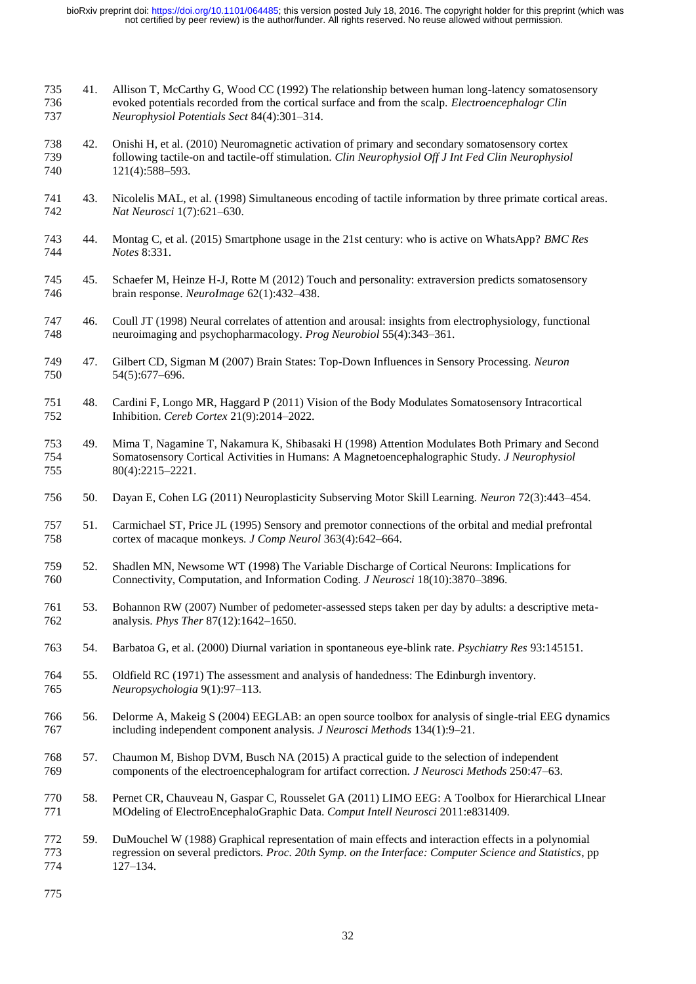- 735 41. Allison T, McCarthy G, Wood CC (1992) The relationship between human long-latency somatosensory<br>736 evoked potentials recorded from the cortical surface and from the scalp. *Electroencephalogr Clin*  evoked potentials recorded from the cortical surface and from the scalp. *Electroencephalogr Clin Neurophysiol Potentials Sect* 84(4):301–314.
- 42. Onishi H, et al. (2010) Neuromagnetic activation of primary and secondary somatosensory cortex following tactile-on and tactile-off stimulation. *Clin Neurophysiol Off J Int Fed Clin Neurophysiol* 121(4):588–593.
- 43. Nicolelis MAL, et al. (1998) Simultaneous encoding of tactile information by three primate cortical areas. *Nat Neurosci* 1(7):621–630.
- 44. Montag C, et al. (2015) Smartphone usage in the 21st century: who is active on WhatsApp? *BMC Res Notes* 8:331.
- 45. Schaefer M, Heinze H-J, Rotte M (2012) Touch and personality: extraversion predicts somatosensory brain response. *NeuroImage* 62(1):432–438.
- 46. Coull JT (1998) Neural correlates of attention and arousal: insights from electrophysiology, functional neuroimaging and psychopharmacology. *Prog Neurobiol* 55(4):343–361.
- 47. Gilbert CD, Sigman M (2007) Brain States: Top-Down Influences in Sensory Processing. *Neuron* 54(5):677–696.
- 48. Cardini F, Longo MR, Haggard P (2011) Vision of the Body Modulates Somatosensory Intracortical Inhibition. *Cereb Cortex* 21(9):2014–2022.
- 753 49. Mima T, Nagamine T, Nakamura K, Shibasaki H (1998) Attention Modulates Both Primary and Second Somatosensory Cortical Activities in Humans: A Magnetoencephalographic Study. *J Neurophysiol*  Somatosensory Cortical Activities in Humans: A Magnetoencephalographic Study. *J Neurophysiol* 80(4):2215–2221.
- 50. Dayan E, Cohen LG (2011) Neuroplasticity Subserving Motor Skill Learning. *Neuron* 72(3):443–454.
- 51. Carmichael ST, Price JL (1995) Sensory and premotor connections of the orbital and medial prefrontal cortex of macaque monkeys. *J Comp Neurol* 363(4):642–664.
- 52. Shadlen MN, Newsome WT (1998) The Variable Discharge of Cortical Neurons: Implications for Connectivity, Computation, and Information Coding. *J Neurosci* 18(10):3870–3896.
- 53. Bohannon RW (2007) Number of pedometer-assessed steps taken per day by adults: a descriptive meta-analysis. *Phys Ther* 87(12):1642–1650.
- 54. Barbatoa G, et al. (2000) Diurnal variation in spontaneous eye-blink rate. *Psychiatry Res* 93:145151.
- 55. Oldfield RC (1971) The assessment and analysis of handedness: The Edinburgh inventory. *Neuropsychologia* 9(1):97–113.
- 56. Delorme A, Makeig S (2004) EEGLAB: an open source toolbox for analysis of single-trial EEG dynamics including independent component analysis. *J Neurosci Methods* 134(1):9–21.
- 57. Chaumon M, Bishop DVM, Busch NA (2015) A practical guide to the selection of independent components of the electroencephalogram for artifact correction. *J Neurosci Methods* 250:47–63.
- 58. Pernet CR, Chauveau N, Gaspar C, Rousselet GA (2011) LIMO EEG: A Toolbox for Hierarchical LInear MOdeling of ElectroEncephaloGraphic Data. *Comput Intell Neurosci* 2011:e831409.
- 59. DuMouchel W (1988) Graphical representation of main effects and interaction effects in a polynomial regression on several predictors. *Proc. 20th Symp. on the Interface: Computer Science and Statistics*, pp 127–134.
-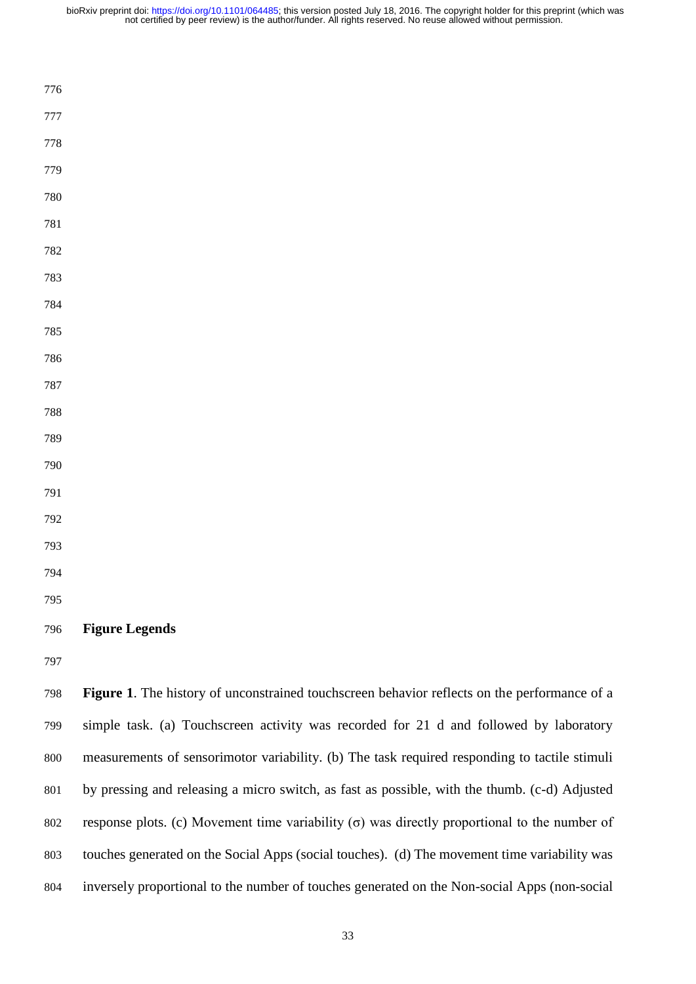| 776 |                                                                                              |
|-----|----------------------------------------------------------------------------------------------|
| 777 |                                                                                              |
| 778 |                                                                                              |
| 779 |                                                                                              |
| 780 |                                                                                              |
| 781 |                                                                                              |
| 782 |                                                                                              |
| 783 |                                                                                              |
| 784 |                                                                                              |
| 785 |                                                                                              |
| 786 |                                                                                              |
| 787 |                                                                                              |
| 788 |                                                                                              |
| 789 |                                                                                              |
| 790 |                                                                                              |
| 791 |                                                                                              |
| 792 |                                                                                              |
| 793 |                                                                                              |
| 794 |                                                                                              |
| 795 |                                                                                              |
| 796 | <b>Figure Legends</b>                                                                        |
| 797 |                                                                                              |
| 798 | Figure 1. The history of unconstrained touchscreen behavior reflects on the performance of a |

 simple task. (a) Touchscreen activity was recorded for 21 d and followed by laboratory measurements of sensorimotor variability. (b) The task required responding to tactile stimuli by pressing and releasing a micro switch, as fast as possible, with the thumb. (c-d) Adjusted response plots. (c) Movement time variability (σ) was directly proportional to the number of touches generated on the Social Apps (social touches). (d) The movement time variability was inversely proportional to the number of touches generated on the Non-social Apps (non-social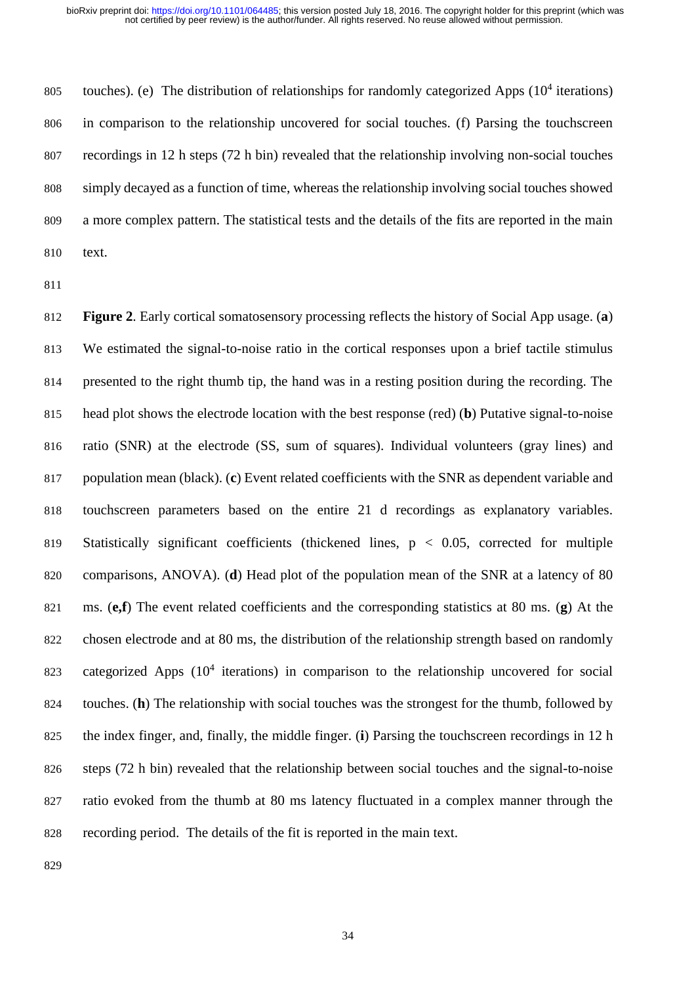805 touches). (e) The distribution of relationships for randomly categorized Apps  $(10^4$  iterations) in comparison to the relationship uncovered for social touches. (f) Parsing the touchscreen recordings in 12 h steps (72 h bin) revealed that the relationship involving non-social touches simply decayed as a function of time, whereas the relationship involving social touches showed a more complex pattern. The statistical tests and the details of the fits are reported in the main text.

 **Figure 2**. Early cortical somatosensory processing reflects the history of Social App usage. (**a**) We estimated the signal-to-noise ratio in the cortical responses upon a brief tactile stimulus presented to the right thumb tip, the hand was in a resting position during the recording. The head plot shows the electrode location with the best response (red) (**b**) Putative signal-to-noise ratio (SNR) at the electrode (SS, sum of squares). Individual volunteers (gray lines) and population mean (black). (**c**) Event related coefficients with the SNR as dependent variable and touchscreen parameters based on the entire 21 d recordings as explanatory variables. 819 Statistically significant coefficients (thickened lines,  $p < 0.05$ , corrected for multiple comparisons, ANOVA). (**d**) Head plot of the population mean of the SNR at a latency of 80 ms. (**e,f**) The event related coefficients and the corresponding statistics at 80 ms. (**g**) At the chosen electrode and at 80 ms, the distribution of the relationship strength based on randomly 823 categorized Apps  $(10<sup>4</sup>$  iterations) in comparison to the relationship uncovered for social touches. (**h**) The relationship with social touches was the strongest for the thumb, followed by the index finger, and, finally, the middle finger. (**i**) Parsing the touchscreen recordings in 12 h steps (72 h bin) revealed that the relationship between social touches and the signal-to-noise ratio evoked from the thumb at 80 ms latency fluctuated in a complex manner through the recording period. The details of the fit is reported in the main text.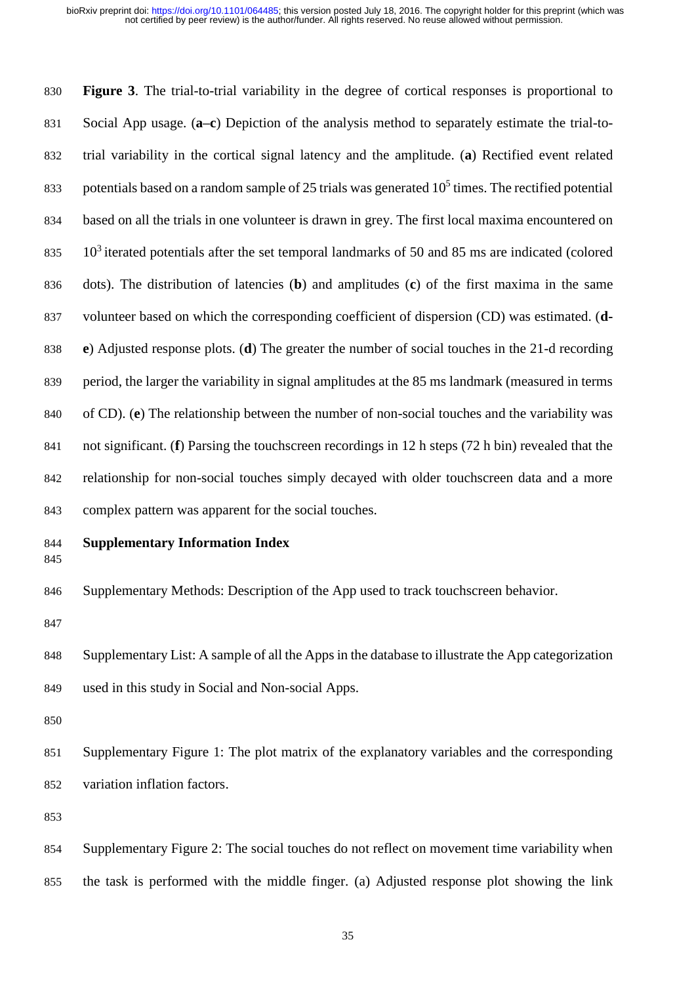**Figure 3**. The trial-to-trial variability in the degree of cortical responses is proportional to Social App usage. (**a–c**) Depiction of the analysis method to separately estimate the trial-to- trial variability in the cortical signal latency and the amplitude. (**a**) Rectified event related 833 potentials based on a random sample of 25 trials was generated  $10<sup>5</sup>$  times. The rectified potential based on all the trials in one volunteer is drawn in grey. The first local maxima encountered on  $10<sup>3</sup>$  iterated potentials after the set temporal landmarks of 50 and 85 ms are indicated (colored dots). The distribution of latencies (**b**) and amplitudes (**c**) of the first maxima in the same volunteer based on which the corresponding coefficient of dispersion (CD) was estimated. (**d- e**) Adjusted response plots. (**d**) The greater the number of social touches in the 21-d recording period, the larger the variability in signal amplitudes at the 85 ms landmark (measured in terms of CD). (**e**) The relationship between the number of non-social touches and the variability was not significant. (**f**) Parsing the touchscreen recordings in 12 h steps (72 h bin) revealed that the relationship for non-social touches simply decayed with older touchscreen data and a more complex pattern was apparent for the social touches.

# **Supplementary Information Index**

Supplementary Methods: Description of the App used to track touchscreen behavior.

 Supplementary List: A sample of all the Apps in the database to illustrate the App categorization used in this study in Social and Non-social Apps.

 Supplementary Figure 1: The plot matrix of the explanatory variables and the corresponding variation inflation factors.

 Supplementary Figure 2: The social touches do not reflect on movement time variability when the task is performed with the middle finger. (a) Adjusted response plot showing the link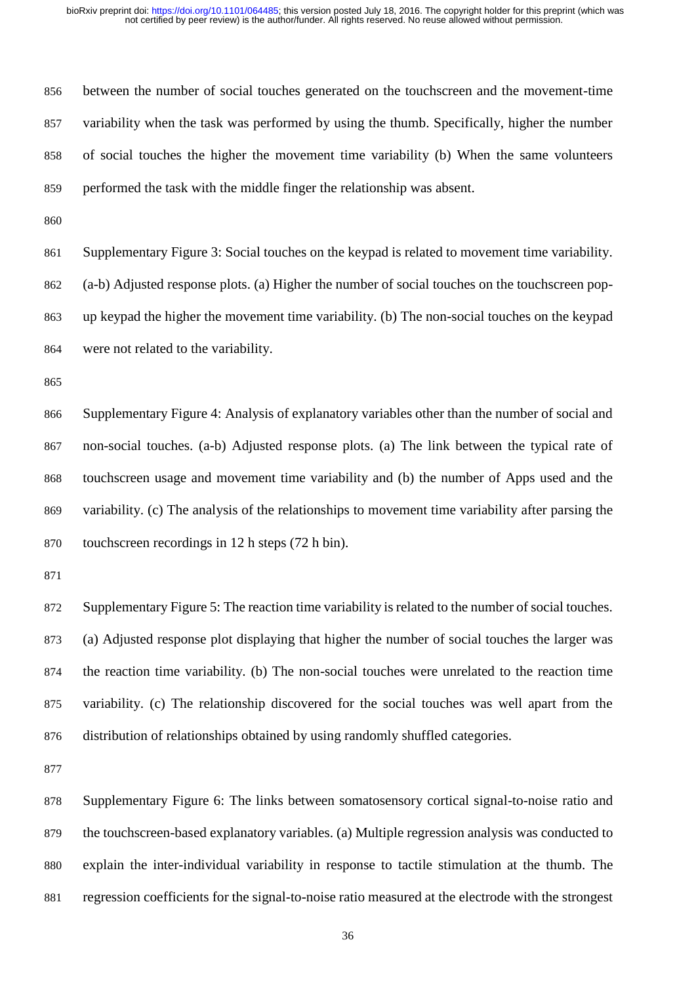between the number of social touches generated on the touchscreen and the movement-time variability when the task was performed by using the thumb. Specifically, higher the number of social touches the higher the movement time variability (b) When the same volunteers performed the task with the middle finger the relationship was absent.

 Supplementary Figure 3: Social touches on the keypad is related to movement time variability. (a-b) Adjusted response plots. (a) Higher the number of social touches on the touchscreen pop- up keypad the higher the movement time variability. (b) The non-social touches on the keypad were not related to the variability.

 Supplementary Figure 4: Analysis of explanatory variables other than the number of social and non-social touches. (a-b) Adjusted response plots. (a) The link between the typical rate of touchscreen usage and movement time variability and (b) the number of Apps used and the variability. (c) The analysis of the relationships to movement time variability after parsing the touchscreen recordings in 12 h steps (72 h bin).

 Supplementary Figure 5: The reaction time variability is related to the number of social touches. (a) Adjusted response plot displaying that higher the number of social touches the larger was the reaction time variability. (b) The non-social touches were unrelated to the reaction time variability. (c) The relationship discovered for the social touches was well apart from the distribution of relationships obtained by using randomly shuffled categories.

 Supplementary Figure 6: The links between somatosensory cortical signal-to-noise ratio and the touchscreen-based explanatory variables. (a) Multiple regression analysis was conducted to explain the inter-individual variability in response to tactile stimulation at the thumb. The regression coefficients for the signal-to-noise ratio measured at the electrode with the strongest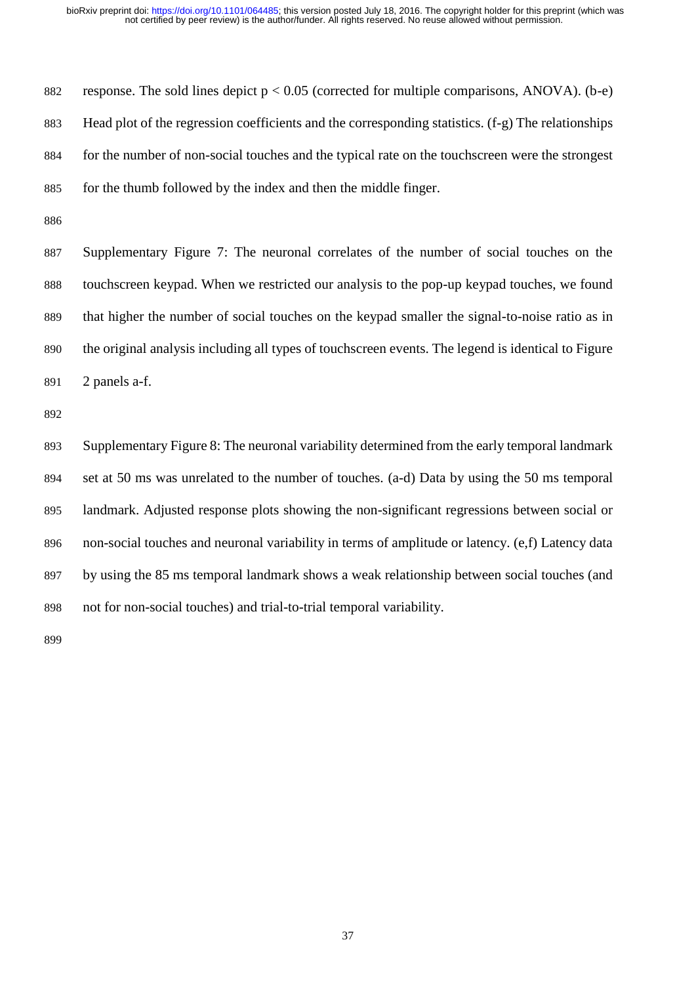882 response. The sold lines depict  $p < 0.05$  (corrected for multiple comparisons, ANOVA). (b-e) Head plot of the regression coefficients and the corresponding statistics. (f-g) The relationships for the number of non-social touches and the typical rate on the touchscreen were the strongest for the thumb followed by the index and then the middle finger.

 Supplementary Figure 7: The neuronal correlates of the number of social touches on the touchscreen keypad. When we restricted our analysis to the pop-up keypad touches, we found that higher the number of social touches on the keypad smaller the signal-to-noise ratio as in the original analysis including all types of touchscreen events. The legend is identical to Figure 2 panels a-f.

 Supplementary Figure 8: The neuronal variability determined from the early temporal landmark set at 50 ms was unrelated to the number of touches. (a-d) Data by using the 50 ms temporal landmark. Adjusted response plots showing the non-significant regressions between social or non-social touches and neuronal variability in terms of amplitude or latency. (e,f) Latency data by using the 85 ms temporal landmark shows a weak relationship between social touches (and not for non-social touches) and trial-to-trial temporal variability.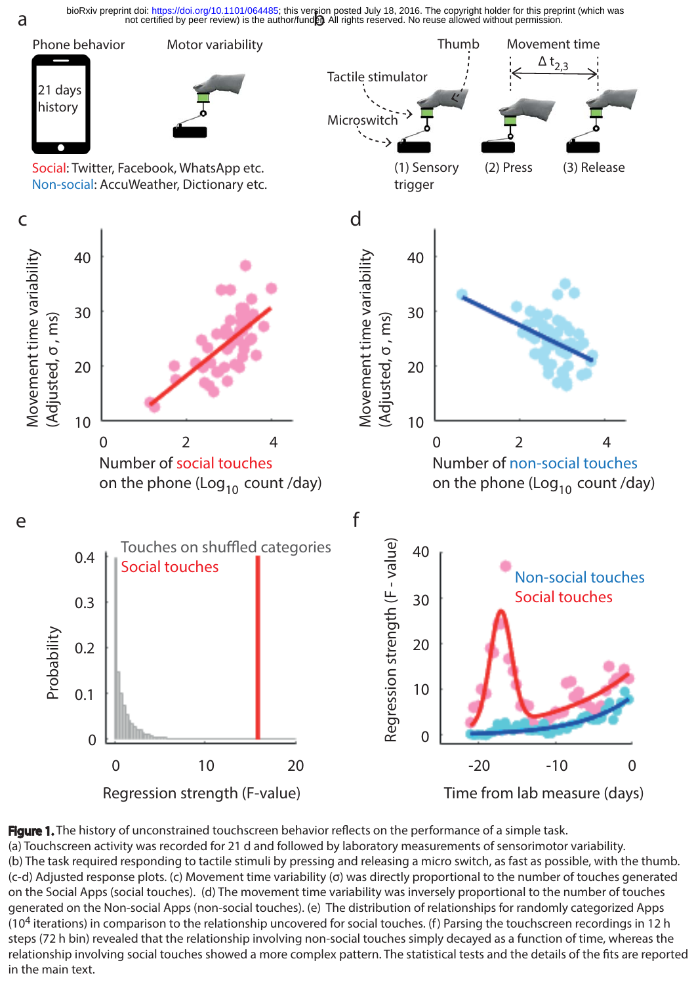bioRxiv preprint doi: https://doi.org/10.1101/064485; this version posted July 18, 2016. The copyright holder for this prepr<br>not certified by peer review) is the author/fund**en** All rights reserved. No reuse allowed withou bioRxiv preprint doi: [https://doi.org/10.1101/064485;](https://doi.org/10.1101/064485) this version posted July 18, 2016. The copyright holder for this preprint (which was



Figure 1. The history of unconstrained touchscreen behavior reflects on the performance of a simple task. (a) Touchscreen activity was recorded for 21 d and followed by laboratory measurements of sensorimotor variability. (b) The task required responding to tactile stimuli by pressing and releasing a micro switch, as fast as possible, with the thumb. (c-d) Adjusted response plots. (c) Movement time variability (σ) was directly proportional to the number of touches generated on the Social Apps (social touches). (d) The movement time variability was inversely proportional to the number of touches generated on the Non-social Apps (non-social touches). (e) The distribution of relationships for randomly categorized Apps (10<sup>4</sup> iterations) in comparison to the relationship uncovered for social touches. (f) Parsing the touchscreen recordings in 12 h steps (72 h bin) revealed that the relationship involving non-social touches simply decayed as a function of time, whereas the relationship involving social touches showed a more complex pattern. The statistical tests and the details of the fits are reported in the main text.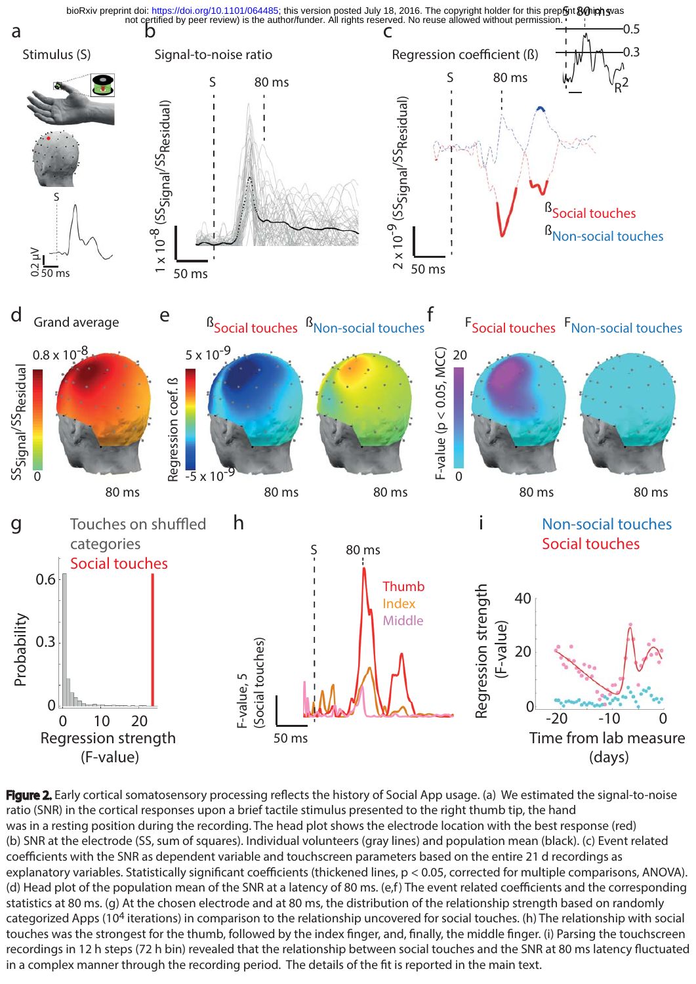

Figure 2. Early cortical somatosensory processing reflects the history of Social App usage. (a) We estimated the signal-to-noise ratio (SNR) in the cortical responses upon a brief tactile stimulus presented to the right thumb tip, the hand was in a resting position during the recording. The head plot shows the electrode location with the best response (red) (b) SNR at the electrode (SS, sum of squares). Individual volunteers (gray lines) and population mean (black). (c) Event related coefficients with the SNR as dependent variable and touchscreen parameters based on the entire 21 d recordings as explanatory variables. Statistically significant coefficients (thickened lines, p < 0.05, corrected for multiple comparisons, ANOVA). (d) Head plot of the population mean of the SNR at a latency of 80 ms. (e,f) The event related coefficients and the corresponding statistics at 80 ms. (g) At the chosen electrode and at 80 ms, the distribution of the relationship strength based on randomly categorized Apps (104 iterations) in comparison to the relationship uncovered for social touches. (h) The relationship with social touches was the strongest for the thumb, followed by the index finger, and, finally, the middle finger. (i) Parsing the touchscreen recordings in 12 h steps (72 h bin) revealed that the relationship between social touches and the SNR at 80 ms latency fluctuated in a complex manner through the recording period. The details of the fit is reported in the main text.